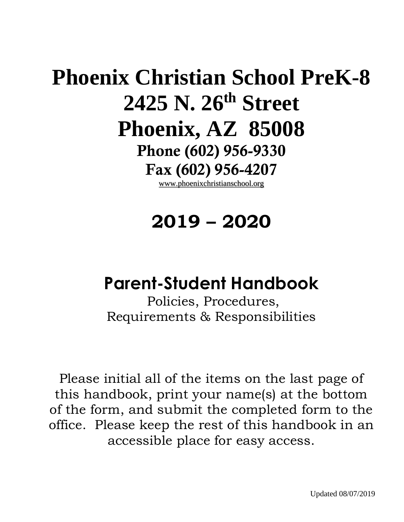# **Phoenix Christian School PreK-8 2425 N. 26th Street Phoenix, AZ 85008 Phone (602) 956-9330 Fax (602) 956-4207**

[www.phoenixchristianschool.org](http://www.phoenixchristianschool.org/)

# **2019 – 2020**

## **Parent-Student Handbook**

Policies, Procedures, Requirements & Responsibilities

Please initial all of the items on the last page of this handbook, print your name(s) at the bottom of the form, and submit the completed form to the office. Please keep the rest of this handbook in an accessible place for easy access.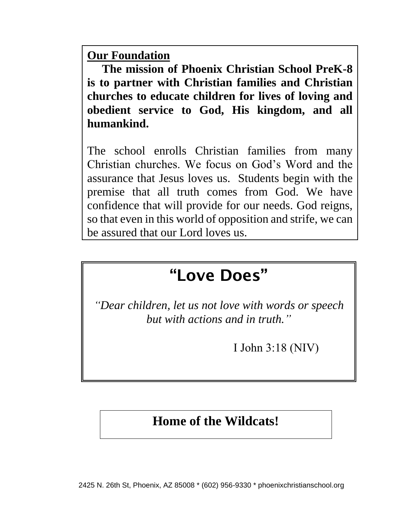**Our Foundation**

 **The mission of Phoenix Christian School PreK-8 is to partner with Christian families and Christian churches to educate children for lives of loving and obedient service to God, His kingdom, and all humankind.**

The school enrolls Christian families from many Christian churches. We focus on God's Word and the assurance that Jesus loves us. Students begin with the premise that all truth comes from God. We have confidence that will provide for our needs. God reigns, so that even in this world of opposition and strife, we can be assured that our Lord loves us.

## **"Love Does"**

*"Dear children, let us not love with words or speech but with actions and in truth."*

I John 3:18 (NIV)

## **Home of the Wildcats!**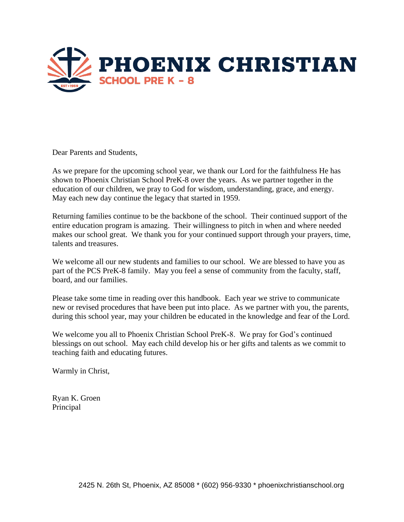

Dear Parents and Students,

As we prepare for the upcoming school year, we thank our Lord for the faithfulness He has shown to Phoenix Christian School PreK-8 over the years. As we partner together in the education of our children, we pray to God for wisdom, understanding, grace, and energy. May each new day continue the legacy that started in 1959.

Returning families continue to be the backbone of the school. Their continued support of the entire education program is amazing. Their willingness to pitch in when and where needed makes our school great. We thank you for your continued support through your prayers, time, talents and treasures.

We welcome all our new students and families to our school. We are blessed to have you as part of the PCS PreK-8 family. May you feel a sense of community from the faculty, staff, board, and our families.

Please take some time in reading over this handbook. Each year we strive to communicate new or revised procedures that have been put into place. As we partner with you, the parents, during this school year, may your children be educated in the knowledge and fear of the Lord.

We welcome you all to Phoenix Christian School PreK-8. We pray for God's continued blessings on out school. May each child develop his or her gifts and talents as we commit to teaching faith and educating futures.

Warmly in Christ,

Ryan K. Groen Principal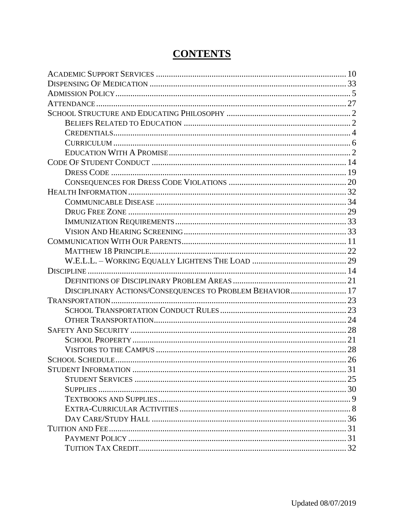### **CONTENTS**

| DISCIPLINARY ACTIONS/CONSEQUENCES TO PROBLEM BEHAVIOR 17 |  |
|----------------------------------------------------------|--|
|                                                          |  |
|                                                          |  |
|                                                          |  |
|                                                          |  |
|                                                          |  |
|                                                          |  |
|                                                          |  |
|                                                          |  |
|                                                          |  |
|                                                          |  |
|                                                          |  |
|                                                          |  |
|                                                          |  |
|                                                          |  |
|                                                          |  |
|                                                          |  |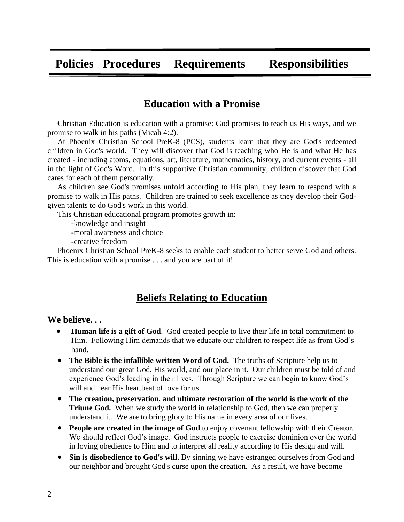### **Education with a Promise**

 Christian Education is education with a promise: God promises to teach us His ways, and we promise to walk in his paths (Micah 4:2).

 At Phoenix Christian School PreK-8 (PCS), students learn that they are God's redeemed children in God's world. They will discover that God is teaching who He is and what He has created - including atoms, equations, art, literature, mathematics, history, and current events - all in the light of God's Word. In this supportive Christian community, children discover that God cares for each of them personally.

 As children see God's promises unfold according to His plan, they learn to respond with a promise to walk in His paths. Children are trained to seek excellence as they develop their Godgiven talents to do God's work in this world.

This Christian educational program promotes growth in:

-knowledge and insight

-moral awareness and choice

-creative freedom

 Phoenix Christian School PreK-8 seeks to enable each student to better serve God and others. This is education with a promise . . . and you are part of it!

### **Beliefs Relating to Education**

#### **We believe. . .**

- **Human life is a gift of God**. God created people to live their life in total commitment to Him. Following Him demands that we educate our children to respect life as from God's hand.
- **The Bible is the infallible written Word of God.** The truths of Scripture help us to understand our great God, His world, and our place in it. Our children must be told of and experience God's leading in their lives. Through Scripture we can begin to know God's will and hear His heartbeat of love for us.
- **The creation, preservation, and ultimate restoration of the world is the work of the Triune God.** When we study the world in relationship to God, then we can properly understand it. We are to bring glory to His name in every area of our lives.
- **People are created in the image of God** to enjoy covenant fellowship with their Creator. We should reflect God's image. God instructs people to exercise dominion over the world in loving obedience to Him and to interpret all reality according to His design and will.
- Sin is disobedience to God's will. By sinning we have estranged ourselves from God and our neighbor and brought God's curse upon the creation. As a result, we have become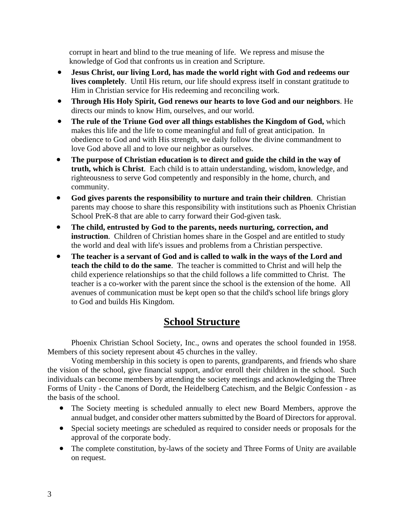corrupt in heart and blind to the true meaning of life. We repress and misuse the knowledge of God that confronts us in creation and Scripture.

- **Jesus Christ, our living Lord, has made the world right with God and redeems our lives completely**. Until His return, our life should express itself in constant gratitude to Him in Christian service for His redeeming and reconciling work.
- **Through His Holy Spirit, God renews our hearts to love God and our neighbors**. He directs our minds to know Him, ourselves, and our world.
- **The rule of the Triune God over all things establishes the Kingdom of God,** which makes this life and the life to come meaningful and full of great anticipation. In obedience to God and with His strength, we daily follow the divine commandment to love God above all and to love our neighbor as ourselves.
- **The purpose of Christian education is to direct and guide the child in the way of truth, which is Christ**. Each child is to attain understanding, wisdom, knowledge, and righteousness to serve God competently and responsibly in the home, church, and community.
- **God gives parents the responsibility to nurture and train their children**. Christian parents may choose to share this responsibility with institutions such as Phoenix Christian School PreK-8 that are able to carry forward their God-given task.
- **The child, entrusted by God to the parents, needs nurturing, correction, and instruction**. Children of Christian homes share in the Gospel and are entitled to study the world and deal with life's issues and problems from a Christian perspective.
- **The teacher is a servant of God and is called to walk in the ways of the Lord and teach the child to do the same**. The teacher is committed to Christ and will help the child experience relationships so that the child follows a life committed to Christ. The teacher is a co-worker with the parent since the school is the extension of the home. All avenues of communication must be kept open so that the child's school life brings glory to God and builds His Kingdom.

### **School Structure**

Phoenix Christian School Society, Inc., owns and operates the school founded in 1958. Members of this society represent about 45 churches in the valley.

Voting membership in this society is open to parents, grandparents, and friends who share the vision of the school, give financial support, and/or enroll their children in the school. Such individuals can become members by attending the society meetings and acknowledging the Three Forms of Unity - the Canons of Dordt, the Heidelberg Catechism, and the Belgic Confession - as the basis of the school.

- The Society meeting is scheduled annually to elect new Board Members, approve the annual budget, and consider other matters submitted by the Board of Directors for approval.
- Special society meetings are scheduled as required to consider needs or proposals for the approval of the corporate body.
- The complete constitution, by-laws of the society and Three Forms of Unity are available on request.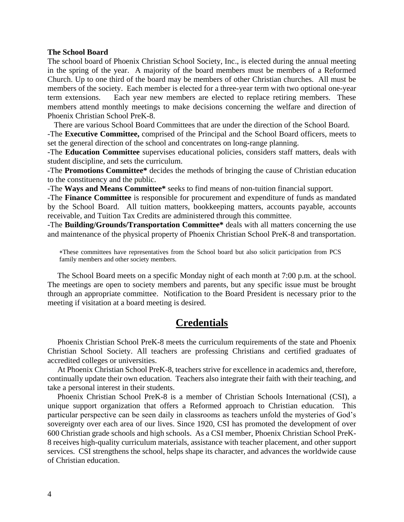#### **The School Board**

The school board of Phoenix Christian School Society, Inc., is elected during the annual meeting in the spring of the year. A majority of the board members must be members of a Reformed Church. Up to one third of the board may be members of other Christian churches. All must be members of the society. Each member is elected for a three-year term with two optional one-year term extensions. Each year new members are elected to replace retiring members. These members attend monthly meetings to make decisions concerning the welfare and direction of Phoenix Christian School PreK-8.

There are various School Board Committees that are under the direction of the School Board.

-The **Executive Committee,** comprised of the Principal and the School Board officers, meets to set the general direction of the school and concentrates on long-range planning.

-The **Education Committee** supervises educational policies, considers staff matters, deals with student discipline, and sets the curriculum.

-The **Promotions Committee\*** decides the methods of bringing the cause of Christian education to the constituency and the public.

-The **Ways and Means Committee\*** seeks to find means of non-tuition financial support.

-The **Finance Committee** is responsible for procurement and expenditure of funds as mandated by the School Board. All tuition matters, bookkeeping matters, accounts payable, accounts receivable, and Tuition Tax Credits are administered through this committee.

-The **Building/Grounds/Transportation Committee\*** deals with all matters concerning the use and maintenance of the physical property of Phoenix Christian School PreK-8 and transportation.

These committees have representatives from the School board but also solicit participation from PCS family members and other society members.

 The School Board meets on a specific Monday night of each month at 7:00 p.m. at the school. The meetings are open to society members and parents, but any specific issue must be brought through an appropriate committee. Notification to the Board President is necessary prior to the meeting if visitation at a board meeting is desired.

### **Credentials**

 Phoenix Christian School PreK-8 meets the curriculum requirements of the state and Phoenix Christian School Society. All teachers are professing Christians and certified graduates of accredited colleges or universities.

 At Phoenix Christian School PreK-8, teachers strive for excellence in academics and, therefore, continually update their own education. Teachers also integrate their faith with their teaching, and take a personal interest in their students.

 Phoenix Christian School PreK-8 is a member of Christian Schools International (CSI), a unique support organization that offers a Reformed approach to Christian education. This particular perspective can be seen daily in classrooms as teachers unfold the mysteries of God's sovereignty over each area of our lives. Since 1920, CSI has promoted the development of over 600 Christian grade schools and high schools. As a CSI member, Phoenix Christian School PreK-8 receives high-quality curriculum materials, assistance with teacher placement, and other support services. CSI strengthens the school, helps shape its character, and advances the worldwide cause of Christian education.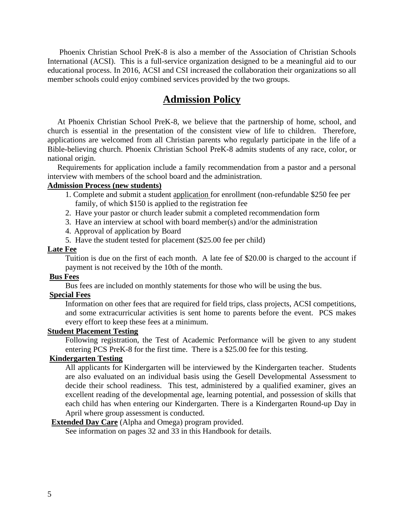Phoenix Christian School PreK-8 is also a member of the Association of Christian Schools International (ACSI). This is a full-service organization designed to be a meaningful aid to our educational process. In 2016, ACSI and CSI increased the collaboration their organizations so all member schools could enjoy combined services provided by the two groups.

### **Admission Policy**

 At Phoenix Christian School PreK-8, we believe that the partnership of home, school, and church is essential in the presentation of the consistent view of life to children. Therefore, applications are welcomed from all Christian parents who regularly participate in the life of a Bible-believing church. Phoenix Christian School PreK-8 admits students of any race, color, or national origin.

 Requirements for application include a family recommendation from a pastor and a personal interview with members of the school board and the administration.

#### **Admission Process (new students)**

- 1. Complete and submit a student application for enrollment (non-refundable \$250 fee per family, of which \$150 is applied to the registration fee
- 2. Have your pastor or church leader submit a completed recommendation form
- 3. Have an interview at school with board member(s) and/or the administration
- 4. Approval of application by Board
- 5. Have the student tested for placement (\$25.00 fee per child)

#### **Late Fee**

 Tuition is due on the first of each month. A late fee of \$20.00 is charged to the account if payment is not received by the 10th of the month.

#### **Bus Fees**

Bus fees are included on monthly statements for those who will be using the bus.

#### **Special Fees**

 Information on other fees that are required for field trips, class projects, ACSI competitions, and some extracurricular activities is sent home to parents before the event. PCS makes every effort to keep these fees at a minimum.

#### **Student Placement Testing**

 Following registration, the Test of Academic Performance will be given to any student entering PCS PreK-8 for the first time. There is a \$25.00 fee for this testing.

#### **Kindergarten Testing**

 All applicants for Kindergarten will be interviewed by the Kindergarten teacher. Students are also evaluated on an individual basis using the Gesell Developmental Assessment to decide their school readiness. This test, administered by a qualified examiner, gives an excellent reading of the developmental age, learning potential, and possession of skills that each child has when entering our Kindergarten. There is a Kindergarten Round-up Day in April where group assessment is conducted.

#### **Extended Day Care** (Alpha and Omega) program provided.

See information on pages 32 and 33 in this Handbook for details.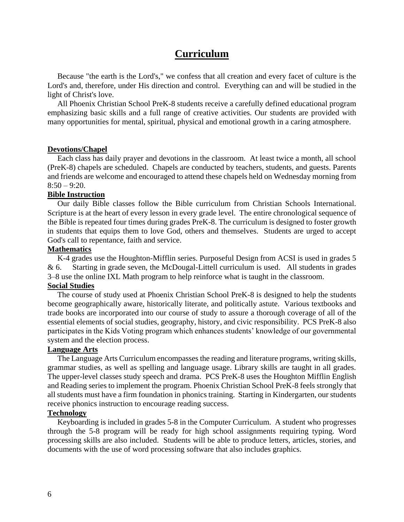### **Curriculum**

 Because "the earth is the Lord's," we confess that all creation and every facet of culture is the Lord's and, therefore, under His direction and control. Everything can and will be studied in the light of Christ's love.

 All Phoenix Christian School PreK-8 students receive a carefully defined educational program emphasizing basic skills and a full range of creative activities. Our students are provided with many opportunities for mental, spiritual, physical and emotional growth in a caring atmosphere.

#### **Devotions/Chapel**

 Each class has daily prayer and devotions in the classroom. At least twice a month, all school (PreK-8) chapels are scheduled. Chapels are conducted by teachers, students, and guests. Parents and friends are welcome and encouraged to attend these chapels held on Wednesday morning from  $8:50 - 9:20$ .

#### **Bible Instruction**

 Our daily Bible classes follow the Bible curriculum from Christian Schools International. Scripture is at the heart of every lesson in every grade level. The entire chronological sequence of the Bible is repeated four times during grades PreK-8. The curriculum is designed to foster growth in students that equips them to love God, others and themselves. Students are urged to accept God's call to repentance, faith and service.

#### **Mathematics**

 K-4 grades use the Houghton-Mifflin series. Purposeful Design from ACSI is used in grades 5 & 6. Starting in grade seven, the McDougal-Littell curriculum is used. All students in grades 3–8 use the online IXL Math program to help reinforce what is taught in the classroom.

#### **Social Studies**

 The course of study used at Phoenix Christian School PreK-8 is designed to help the students become geographically aware, historically literate, and politically astute. Various textbooks and trade books are incorporated into our course of study to assure a thorough coverage of all of the essential elements of social studies, geography, history, and civic responsibility. PCS PreK-8 also participates in the Kids Voting program which enhances students' knowledge of our governmental system and the election process.

#### **Language Arts**

 The Language Arts Curriculum encompasses the reading and literature programs, writing skills, grammar studies, as well as spelling and language usage. Library skills are taught in all grades. The upper-level classes study speech and drama. PCS PreK-8 uses the Houghton Mifflin English and Reading series to implement the program. Phoenix Christian School PreK-8 feels strongly that all students must have a firm foundation in phonics training. Starting in Kindergarten, our students receive phonics instruction to encourage reading success.

#### **Technology**

 Keyboarding is included in grades 5-8 in the Computer Curriculum. A student who progresses through the 5-8 program will be ready for high school assignments requiring typing. Word processing skills are also included. Students will be able to produce letters, articles, stories, and documents with the use of word processing software that also includes graphics.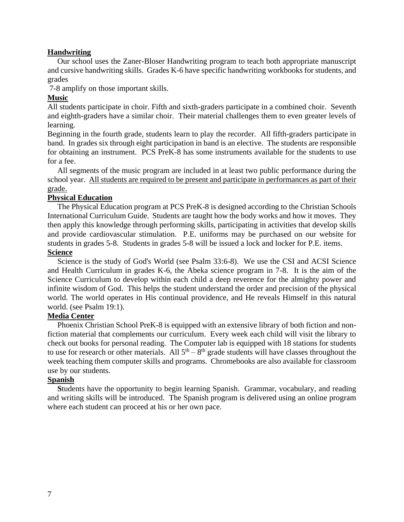#### **Handwriting**

Our school uses the Zaner-Bloser Handwriting program to teach both appropriate manuscript and cursive handwriting skills. Grades K-6 have specific handwriting workbooks for students, and grades

7-8 amplify on those important skills.

#### **Music**

All students participate in choir. Fifth and sixth-graders participate in a combined choir. Seventh and eighth-graders have a similar choir. Their material challenges them to even greater levels of learning.

Beginning in the fourth grade, students learn to play the recorder. All fifth-graders participate in band. In grades six through eight participation in band is an elective. The students are responsible for obtaining an instrument. PCS PreK-8 has some instruments available for the students to use for a fee.

 All segments of the music program are included in at least two public performance during the school year. All students are required to be present and participate in performances as part of their grade.

### **Physical Education**

 The Physical Education program at PCS PreK-8 is designed according to the Christian Schools International Curriculum Guide. Students are taught how the body works and how it moves. They then apply this knowledge through performing skills, participating in activities that develop skills and provide cardiovascular stimulation. P.E. uniforms may be purchased on our website for students in grades 5-8. Students in grades 5-8 will be issued a lock and locker for P.E. items. **Science**

 Science is the study of God's World (see Psalm 33:6-8). We use the CSI and ACSI Science and Health Curriculum in grades K-6, the Abeka science program in 7-8. It is the aim of the Science Curriculum to develop within each child a deep reverence for the almighty power and infinite wisdom of God. This helps the student understand the order and precision of the physical world. The world operates in His continual providence, and He reveals Himself in this natural world. (see Psalm 19:1).

#### **Media Center**

 Phoenix Christian School PreK-8 is equipped with an extensive library of both fiction and nonfiction material that complements our curriculum. Every week each child will visit the library to check out books for personal reading. The Computer lab is equipped with 18 stations for students to use for research or other materials. All  $5<sup>th</sup> - 8<sup>th</sup>$  grade students will have classes throughout the week teaching them computer skills and programs. Chromebooks are also available for classroom use by our students.

### **Spanish**

 **S**tudents have the opportunity to begin learning Spanish. Grammar, vocabulary, and reading and writing skills will be introduced. The Spanish program is delivered using an online program where each student can proceed at his or her own pace.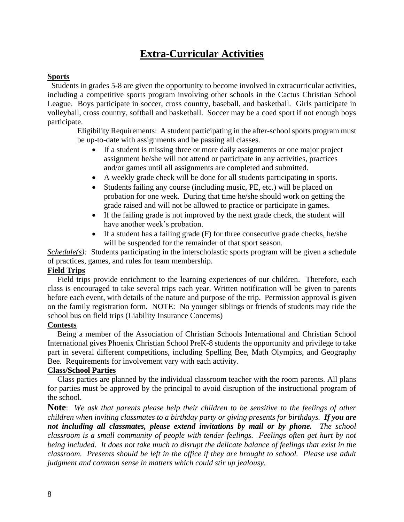### **Extra-Curricular Activities**

#### **Sports**

Students in grades 5-8 are given the opportunity to become involved in extracurricular activities, including a competitive sports program involving other schools in the Cactus Christian School League. Boys participate in soccer, cross country, baseball, and basketball. Girls participate in volleyball, cross country, softball and basketball. Soccer may be a coed sport if not enough boys participate.

Eligibility Requirements: A student participating in the after-school sports program must be up-to-date with assignments and be passing all classes.

- If a student is missing three or more daily assignments or one major project assignment he/she will not attend or participate in any activities, practices and/or games until all assignments are completed and submitted.
- A weekly grade check will be done for all students participating in sports.
- Students failing any course (including music, PE, etc.) will be placed on probation for one week. During that time he/she should work on getting the grade raised and will not be allowed to practice or participate in games.
- If the failing grade is not improved by the next grade check, the student will have another week's probation.
- If a student has a failing grade  $(F)$  for three consecutive grade checks, he/she will be suspended for the remainder of that sport season.

*Schedule(s)*: Students participating in the interscholastic sports program will be given a schedule of practices, games, and rules for team membership.

#### **Field Trips**

 Field trips provide enrichment to the learning experiences of our children. Therefore, each class is encouraged to take several trips each year. Written notification will be given to parents before each event, with details of the nature and purpose of the trip. Permission approval is given on the family registration form. NOTE: No younger siblings or friends of students may ride the school bus on field trips (Liability Insurance Concerns)

#### **Contests**

 Being a member of the Association of Christian Schools International and Christian School International gives Phoenix Christian School PreK-8 students the opportunity and privilege to take part in several different competitions, including Spelling Bee, Math Olympics, and Geography Bee. Requirements for involvement vary with each activity.

#### **Class/School Parties**

 Class parties are planned by the individual classroom teacher with the room parents. All plans for parties must be approved by the principal to avoid disruption of the instructional program of the school.

**Note**: *We ask that parents please help their children to be sensitive to the feelings of other children when inviting classmates to a birthday party or giving presents for birthdays. If you are not including all classmates, please extend invitations by mail or by phone. The school classroom is a small community of people with tender feelings. Feelings often get hurt by not being included. It does not take much to disrupt the delicate balance of feelings that exist in the classroom. Presents should be left in the office if they are brought to school. Please use adult judgment and common sense in matters which could stir up jealousy.*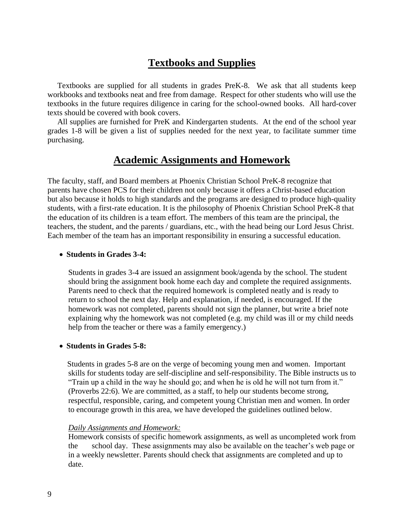### **Textbooks and Supplies**

 Textbooks are supplied for all students in grades PreK-8. We ask that all students keep workbooks and textbooks neat and free from damage. Respect for other students who will use the textbooks in the future requires diligence in caring for the school-owned books. All hard-cover texts should be covered with book covers.

 All supplies are furnished for PreK and Kindergarten students. At the end of the school year grades 1-8 will be given a list of supplies needed for the next year, to facilitate summer time purchasing.

### **Academic Assignments and Homework**

The faculty, staff, and Board members at Phoenix Christian School PreK-8 recognize that parents have chosen PCS for their children not only because it offers a Christ-based education but also because it holds to high standards and the programs are designed to produce high-quality students, with a first-rate education. It is the philosophy of Phoenix Christian School PreK-8 that the education of its children is a team effort. The members of this team are the principal, the teachers, the student, and the parents / guardians, etc., with the head being our Lord Jesus Christ. Each member of the team has an important responsibility in ensuring a successful education.

#### **Students in Grades 3-4:**

Students in grades 3-4 are issued an assignment book/agenda by the school. The student should bring the assignment book home each day and complete the required assignments. Parents need to check that the required homework is completed neatly and is ready to return to school the next day. Help and explanation, if needed, is encouraged. If the homework was not completed, parents should not sign the planner, but write a brief note explaining why the homework was not completed (e.g. my child was ill or my child needs help from the teacher or there was a family emergency.)

#### **Students in Grades 5-8:**

 Students in grades 5-8 are on the verge of becoming young men and women. Important skills for students today are self-discipline and self-responsibility. The Bible instructs us to "Train up a child in the way he should go; and when he is old he will not turn from it." (Proverbs 22:6). We are committed, as a staff, to help our students become strong, respectful, responsible, caring, and competent young Christian men and women. In order to encourage growth in this area, we have developed the guidelines outlined below.

#### *Daily Assignments and Homework:*

Homework consists of specific homework assignments, as well as uncompleted work from the school day. These assignments may also be available on the teacher's web page or in a weekly newsletter. Parents should check that assignments are completed and up to date.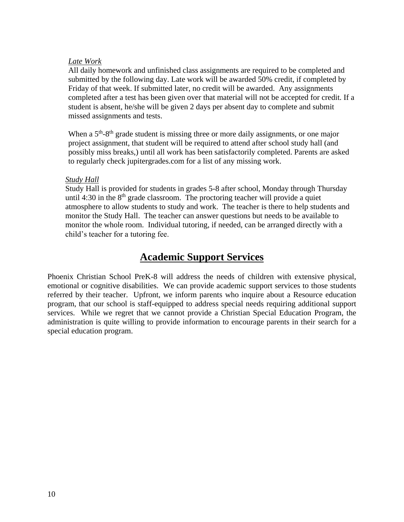#### *Late Work*

All daily homework and unfinished class assignments are required to be completed and submitted by the following day. Late work will be awarded 50% credit, if completed by Friday of that week. If submitted later, no credit will be awarded. Any assignments completed after a test has been given over that material will not be accepted for credit. If a student is absent, he/she will be given 2 days per absent day to complete and submit missed assignments and tests.

When a  $5<sup>th</sup>$ -8<sup>th</sup> grade student is missing three or more daily assignments, or one major project assignment, that student will be required to attend after school study hall (and possibly miss breaks,) until all work has been satisfactorily completed. Parents are asked to regularly check jupitergrades.com for a list of any missing work.

#### *Study Hall*

Study Hall is provided for students in grades 5-8 after school, Monday through Thursday until 4:30 in the  $8<sup>th</sup>$  grade classroom. The proctoring teacher will provide a quiet atmosphere to allow students to study and work. The teacher is there to help students and monitor the Study Hall. The teacher can answer questions but needs to be available to monitor the whole room. Individual tutoring, if needed, can be arranged directly with a child's teacher for a tutoring fee.

### **Academic Support Services**

Phoenix Christian School PreK-8 will address the needs of children with extensive physical, emotional or cognitive disabilities. We can provide academic support services to those students referred by their teacher. Upfront, we inform parents who inquire about a Resource education program, that our school is staff-equipped to address special needs requiring additional support services. While we regret that we cannot provide a Christian Special Education Program, the administration is quite willing to provide information to encourage parents in their search for a special education program.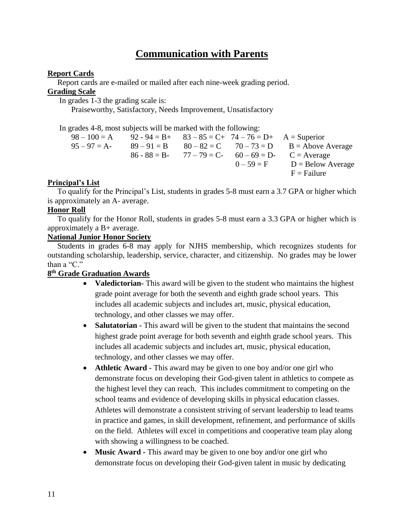### **Communication with Parents**

#### **Report Cards**

Report cards are e-mailed or mailed after each nine-week grading period.

#### **Grading Scale**

In grades 1-3 the grading scale is:

Praiseworthy, Satisfactory, Needs Improvement, Unsatisfactory

In grades 4-8, most subjects will be marked with the following:

| $98-100 = A$ $92-94 = B+$ $83-85 = C+$ $74-76 = D+$ $A =$ Superior |  |                                                               |
|--------------------------------------------------------------------|--|---------------------------------------------------------------|
| $95 - 97 = A$                                                      |  | $89 - 91 = B$ $80 - 82 = C$ $70 - 73 = D$ $B =$ Above Average |
|                                                                    |  | $86 - 88 = B - 77 - 79 = C - 60 - 69 = D - C = Average$       |
|                                                                    |  | $0-59 = F$ D = Below Average                                  |
|                                                                    |  | $F =$ Failure                                                 |

### **Principal's List**

 To qualify for the Principal's List, students in grades 5-8 must earn a 3.7 GPA or higher which is approximately an A- average.

### **Honor Roll**

 To qualify for the Honor Roll, students in grades 5-8 must earn a 3.3 GPA or higher which is approximately a B+ average.

### **National Junior Honor Society**

 Students in grades 6-8 may apply for NJHS membership, which recognizes students for outstanding scholarship, leadership, service, character, and citizenship. No grades may be lower than a "C."

### **8 th Grade Graduation Awards**

- **Valedictorian-** This award will be given to the student who maintains the highest grade point average for both the seventh and eighth grade school years. This includes all academic subjects and includes art, music, physical education, technology, and other classes we may offer.
- Salutatorian **-** This award will be given to the student that maintains the second highest grade point average for both seventh and eighth grade school years. This includes all academic subjects and includes art, music, physical education, technology, and other classes we may offer.
- **Athletic Award -** This award may be given to one boy and/or one girl who demonstrate focus on developing their God-given talent in athletics to compete as the highest level they can reach. This includes commitment to competing on the school teams and evidence of developing skills in physical education classes. Athletes will demonstrate a consistent striving of servant leadership to lead teams in practice and games, in skill development, refinement, and performance of skills on the field. Athletes will excel in competitions and cooperative team play along with showing a willingness to be coached.
- **Music Award -** This award may be given to one boy and/or one girl who demonstrate focus on developing their God-given talent in music by dedicating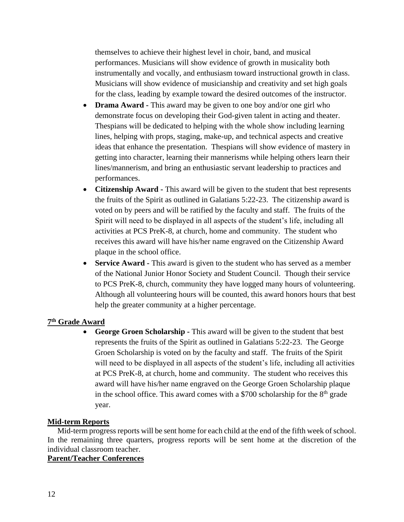themselves to achieve their highest level in choir, band, and musical performances. Musicians will show evidence of growth in musicality both instrumentally and vocally, and enthusiasm toward instructional growth in class. Musicians will show evidence of musicianship and creativity and set high goals for the class, leading by example toward the desired outcomes of the instructor.

- **Drama Award -** This award may be given to one boy and/or one girl who demonstrate focus on developing their God-given talent in acting and theater. Thespians will be dedicated to helping with the whole show including learning lines, helping with props, staging, make-up, and technical aspects and creative ideas that enhance the presentation. Thespians will show evidence of mastery in getting into character, learning their mannerisms while helping others learn their lines/mannerism, and bring an enthusiastic servant leadership to practices and performances.
- **Citizenship Award -** This award will be given to the student that best represents the fruits of the Spirit as outlined in Galatians 5:22-23. The citizenship award is voted on by peers and will be ratified by the faculty and staff. The fruits of the Spirit will need to be displayed in all aspects of the student's life, including all activities at PCS PreK-8, at church, home and community. The student who receives this award will have his/her name engraved on the Citizenship Award plaque in the school office.
- **Service Award -** This award is given to the student who has served as a member of the National Junior Honor Society and Student Council. Though their service to PCS PreK-8, church, community they have logged many hours of volunteering. Although all volunteering hours will be counted, this award honors hours that best help the greater community at a higher percentage.

### **7 th Grade Award**

 **George Groen Scholarship -** This award will be given to the student that best represents the fruits of the Spirit as outlined in Galatians 5:22-23. The George Groen Scholarship is voted on by the faculty and staff. The fruits of the Spirit will need to be displayed in all aspects of the student's life, including all activities at PCS PreK-8, at church, home and community. The student who receives this award will have his/her name engraved on the George Groen Scholarship plaque in the school office. This award comes with a \$700 scholarship for the  $8<sup>th</sup>$  grade year.

### **Mid-term Reports**

 Mid-term progress reports will be sent home for each child at the end of the fifth week of school. In the remaining three quarters, progress reports will be sent home at the discretion of the individual classroom teacher.

### **Parent/Teacher Conferences**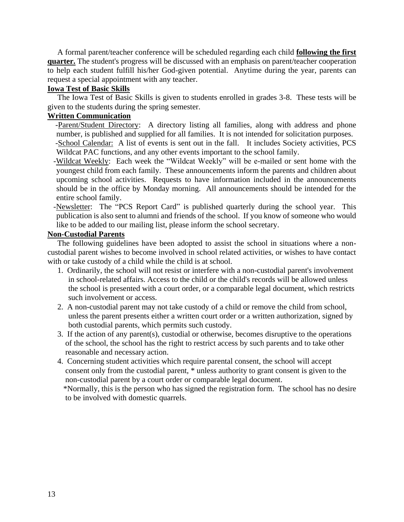A formal parent/teacher conference will be scheduled regarding each child **following the first quarter.** The student's progress will be discussed with an emphasis on parent/teacher cooperation to help each student fulfill his/her God-given potential. Anytime during the year, parents can request a special appointment with any teacher.

#### **Iowa Test of Basic Skills**

 The Iowa Test of Basic Skills is given to students enrolled in grades 3-8. These tests will be given to the students during the spring semester.

#### **Written Communication**

 -Parent/Student Directory: A directory listing all families, along with address and phone number, is published and supplied for all families. It is not intended for solicitation purposes.

 -School Calendar: A list of events is sent out in the fall. It includes Society activities, PCS Wildcat PAC functions, and any other events important to the school family.

 -Wildcat Weekly: Each week the "Wildcat Weekly" will be e-mailed or sent home with the youngest child from each family. These announcements inform the parents and children about upcoming school activities. Requests to have information included in the announcements should be in the office by Monday morning. All announcements should be intended for the entire school family.

-Newsletter: The "PCS Report Card" is published quarterly during the school year. This publication is also sent to alumni and friends of the school. If you know of someone who would like to be added to our mailing list, please inform the school secretary.

#### **Non-Custodial Parents**

 The following guidelines have been adopted to assist the school in situations where a noncustodial parent wishes to become involved in school related activities, or wishes to have contact with or take custody of a child while the child is at school.

- 1. Ordinarily, the school will not resist or interfere with a non-custodial parent's involvement in school-related affairs. Access to the child or the child's records will be allowed unless the school is presented with a court order, or a comparable legal document, which restricts such involvement or access.
- 2. A non-custodial parent may not take custody of a child or remove the child from school, unless the parent presents either a written court order or a written authorization, signed by both custodial parents, which permits such custody.
- 3. If the action of any parent(s), custodial or otherwise, becomes disruptive to the operations of the school, the school has the right to restrict access by such parents and to take other reasonable and necessary action.
- 4. Concerning student activities which require parental consent, the school will accept consent only from the custodial parent, \* unless authority to grant consent is given to the non-custodial parent by a court order or comparable legal document.

 \*Normally, this is the person who has signed the registration form. The school has no desire to be involved with domestic quarrels.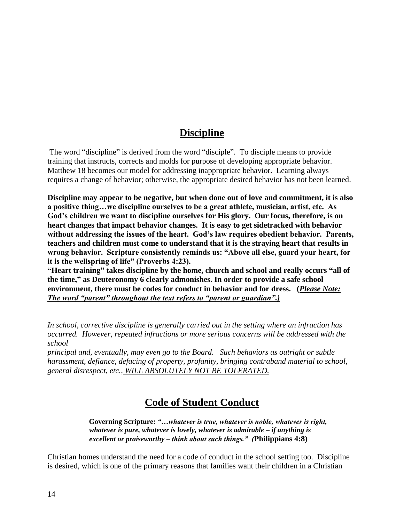### **Discipline**

The word "discipline" is derived from the word "disciple". To disciple means to provide training that instructs, corrects and molds for purpose of developing appropriate behavior. Matthew 18 becomes our model for addressing inappropriate behavior. Learning always requires a change of behavior; otherwise, the appropriate desired behavior has not been learned.

**Discipline may appear to be negative, but when done out of love and commitment, it is also a positive thing…we discipline ourselves to be a great athlete, musician, artist, etc. As God's children we want to discipline ourselves for His glory. Our focus, therefore, is on heart changes that impact behavior changes. It is easy to get sidetracked with behavior without addressing the issues of the heart. God's law requires obedient behavior. Parents, teachers and children must come to understand that it is the straying heart that results in wrong behavior. Scripture consistently reminds us: "Above all else, guard your heart, for it is the wellspring of life" (Proverbs 4:23).** 

**"Heart training" takes discipline by the home, church and school and really occurs "all of the time," as Deuteronomy 6 clearly admonishes. In order to provide a safe school environment, there must be codes for conduct in behavior and for dress. (***Please Note: The word "parent" throughout the text refers to "parent or guardian".)*

*In school, corrective discipline is generally carried out in the setting where an infraction has occurred. However, repeated infractions or more serious concerns will be addressed with the school* 

*principal and, eventually, may even go to the Board. Such behaviors as outright or subtle harassment, defiance, defacing of property, profanity, bringing contraband material to school, general disrespect, etc., WILL ABSOLUTELY NOT BE TOLERATED.* 

### **Code of Student Conduct**

 **Governing Scripture:** *"…whatever is true, whatever is noble, whatever is right, whatever is pure, whatever is lovely, whatever is admirable – if anything is excellent or praiseworthy – think about such things." (***Philippians 4:8)**

Christian homes understand the need for a code of conduct in the school setting too. Discipline is desired, which is one of the primary reasons that families want their children in a Christian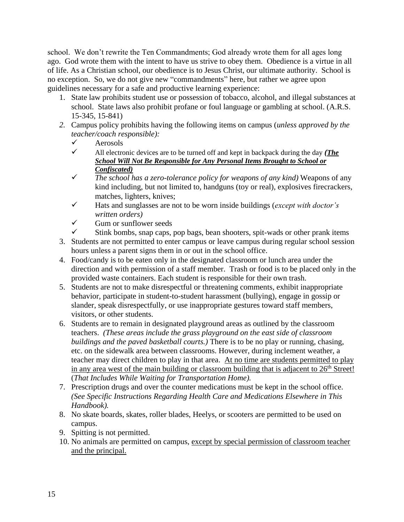school. We don't rewrite the Ten Commandments; God already wrote them for all ages long ago. God wrote them with the intent to have us strive to obey them. Obedience is a virtue in all of life. As a Christian school, our obedience is to Jesus Christ, our ultimate authority. School is no exception. So, we do not give new "commandments" here, but rather we agree upon guidelines necessary for a safe and productive learning experience:

- 1. State law prohibits student use or possession of tobacco, alcohol, and illegal substances at school. State laws also prohibit profane or foul language or gambling at school. (A.R.S. 15-345, 15-841)
- *2.* Campus policy prohibits having the following items on campus (*unless approved by the teacher/coach responsible):*
	- $\checkmark$  Aerosols
	- All electronic devices are to be turned off and kept in backpack during the day *(The*) *School Will Not Be Responsible for Any Personal Items Brought to School or Confiscated)*
	- *The school has a zero-tolerance policy for weapons of any kind)* Weapons of any kind including, but not limited to, handguns (toy or real), explosives firecrackers, matches, lighters, knives;
	- Hats and sunglasses are not to be worn inside buildings (*except with doctor's written orders)*
	- $\checkmark$  Gum or sunflower seeds
	- $\checkmark$  Stink bombs, snap caps, pop bags, bean shooters, spit-wads or other prank items
- 3. Students are not permitted to enter campus or leave campus during regular school session hours unless a parent signs them in or out in the school office.
- 4. Food/candy is to be eaten only in the designated classroom or lunch area under the direction and with permission of a staff member. Trash or food is to be placed only in the provided waste containers. Each student is responsible for their own trash.
- 5. Students are not to make disrespectful or threatening comments, exhibit inappropriate behavior, participate in student-to-student harassment (bullying), engage in gossip or slander, speak disrespectfully, or use inappropriate gestures toward staff members, visitors, or other students.
- 6. Students are to remain in designated playground areas as outlined by the classroom teachers. *(These areas include the grass playground on the east side of classroom buildings and the paved basketball courts.)* There is to be no play or running, chasing, etc. on the sidewalk area between classrooms. However, during inclement weather, a teacher may direct children to play in that area. At no time are students permitted to play in any area west of the main building or classroom building that is adjacent to  $26<sup>th</sup>$  Street! (*That Includes While Waiting for Transportation Home).*
- 7. Prescription drugs and over the counter medications must be kept in the school office. *(See Specific Instructions Regarding Health Care and Medications Elsewhere in This Handbook).*
- 8. No skate boards, skates, roller blades, Heelys, or scooters are permitted to be used on campus.
- 9. Spitting is not permitted.
- 10. No animals are permitted on campus, except by special permission of classroom teacher and the principal.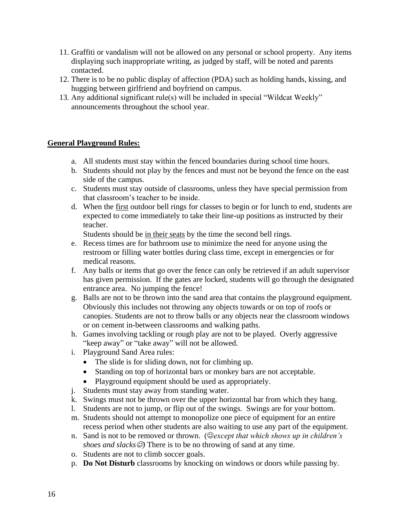- 11. Graffiti or vandalism will not be allowed on any personal or school property. Any items displaying such inappropriate writing, as judged by staff, will be noted and parents contacted.
- 12. There is to be no public display of affection (PDA) such as holding hands, kissing, and hugging between girlfriend and boyfriend on campus.
- 13. Any additional significant rule(s) will be included in special "Wildcat Weekly" announcements throughout the school year.

### **General Playground Rules:**

- a. All students must stay within the fenced boundaries during school time hours.
- b. Students should not play by the fences and must not be beyond the fence on the east side of the campus.
- c. Students must stay outside of classrooms, unless they have special permission from that classroom's teacher to be inside.
- d. When the first outdoor bell rings for classes to begin or for lunch to end, students are expected to come immediately to take their line-up positions as instructed by their teacher.

Students should be in their seats by the time the second bell rings.

- e. Recess times are for bathroom use to minimize the need for anyone using the restroom or filling water bottles during class time, except in emergencies or for medical reasons.
- f. Any balls or items that go over the fence can only be retrieved if an adult supervisor has given permission. If the gates are locked, students will go through the designated entrance area. No jumping the fence!
- g. Balls are not to be thrown into the sand area that contains the playground equipment. Obviously this includes not throwing any objects towards or on top of roofs or canopies. Students are not to throw balls or any objects near the classroom windows or on cement in-between classrooms and walking paths.
- h. Games involving tackling or rough play are not to be played. Overly aggressive "keep away" or "take away" will not be allowed.
- i. Playground Sand Area rules:
	- The slide is for sliding down, not for climbing up.
	- Standing on top of horizontal bars or monkey bars are not acceptable.
	- Playground equipment should be used as appropriately.
- j. Students must stay away from standing water.
- k. Swings must not be thrown over the upper horizontal bar from which they hang.
- l. Students are not to jump, or flip out of the swings. Swings are for your bottom.
- m. Students should not attempt to monopolize one piece of equipment for an entire recess period when other students are also waiting to use any part of the equipment.
- n. Sand is not to be removed or thrown. (*Oexcept that which shows up in children's shoes and slacks* $\mathcal{O}$ ) There is to be no throwing of sand at any time.
- o. Students are not to climb soccer goals.
- p. **Do Not Disturb** classrooms by knocking on windows or doors while passing by.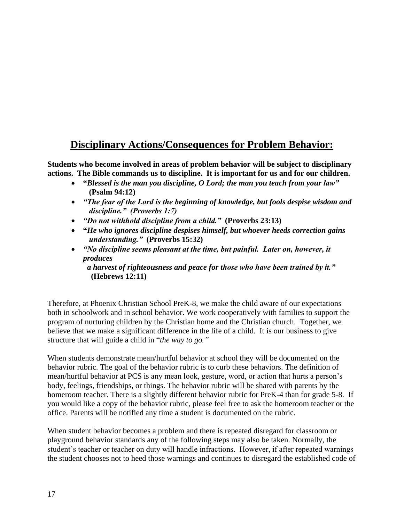### **Disciplinary Actions/Consequences for Problem Behavior:**

**Students who become involved in areas of problem behavior will be subject to disciplinary actions. The Bible commands us to discipline. It is important for us and for our children.**

- **"***Blessed is the man you discipline, O Lord; the man you teach from your law"*   **(Psalm 94:12)**
- *"The fear of the Lord is the beginning of knowledge, but fools despise wisdom and discipline." (Proverbs 1:7)*
- *"Do not withhold discipline from a child."* **(Proverbs 23:13)**
- **"***He who ignores discipline despises himself, but whoever heeds correction gains*  *understanding."* **(Proverbs 15:32)**
- *"No discipline seems pleasant at the time, but painful. Later on, however, it produces*

 *a harvest of righteousness and peace for those who have been trained by it."* **(Hebrews 12:11)**

Therefore, at Phoenix Christian School PreK-8, we make the child aware of our expectations both in schoolwork and in school behavior. We work cooperatively with families to support the program of nurturing children by the Christian home and the Christian church. Together, we believe that we make a significant difference in the life of a child. It is our business to give structure that will guide a child in "*the way to go."*

When students demonstrate mean/hurtful behavior at school they will be documented on the behavior rubric. The goal of the behavior rubric is to curb these behaviors. The definition of mean/hurtful behavior at PCS is any mean look, gesture, word, or action that hurts a person's body, feelings, friendships, or things. The behavior rubric will be shared with parents by the homeroom teacher. There is a slightly different behavior rubric for PreK-4 than for grade 5-8. If you would like a copy of the behavior rubric, please feel free to ask the homeroom teacher or the office. Parents will be notified any time a student is documented on the rubric.

When student behavior becomes a problem and there is repeated disregard for classroom or playground behavior standards any of the following steps may also be taken. Normally, the student's teacher or teacher on duty will handle infractions. However, if after repeated warnings the student chooses not to heed those warnings and continues to disregard the established code of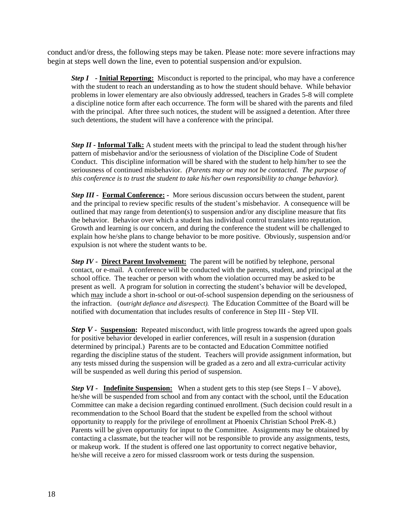conduct and/or dress, the following steps may be taken. Please note: more severe infractions may begin at steps well down the line, even to potential suspension and/or expulsion.

*Step I* - **Initial Reporting:** Misconduct is reported to the principal, who may have a conference with the student to reach an understanding as to how the student should behave. While behavior problems in lower elementary are also obviously addressed, teachers in Grades 5-8 will complete a discipline notice form after each occurrence. The form will be shared with the parents and filed with the principal. After three such notices, the student will be assigned a detention. After three such detentions, the student will have a conference with the principal.

*Step II -* **Informal Talk:** A student meets with the principal to lead the student through his/her pattern of misbehavior and/or the seriousness of violation of the Discipline Code of Student Conduct. This discipline information will be shared with the student to help him/her to see the seriousness of continued misbehavior. *(Parents may or may not be contacted. The purpose of this conference is to trust the student to take his/her own responsibility to change behavior).*

*Step III* **-****Formal Conference: -** More serious discussion occurs between the student, parent and the principal to review specific results of the student's misbehavior. A consequence will be outlined that may range from detention(s) to suspension and/or any discipline measure that fits the behavior. Behavior over which a student has individual control translates into reputation. Growth and learning is our concern, and during the conference the student will be challenged to explain how he/she plans to change behavior to be more positive. Obviously, suspension and/or expulsion is not where the student wants to be.

*Step IV -* **Direct Parent Involvement:** The parent will be notified by telephone, personal contact, or e-mail. A conference will be conducted with the parents, student, and principal at the school office. The teacher or person with whom the violation occurred may be asked to be present as well. A program for solution in correcting the student's behavior will be developed, which may include a short in-school or out-of-school suspension depending on the seriousness of the infraction. (o*utright defiance and disrespect).* The Education Committee of the Board will be notified with documentation that includes results of conference in Step III - Step VII.

**Step V - Suspension:** Repeated misconduct, with little progress towards the agreed upon goals for positive behavior developed in earlier conferences, will result in a suspension (duration determined by principal.) Parents are to be contacted and Education Committee notified regarding the discipline status of the student. Teachers will provide assignment information, but any tests missed during the suspension will be graded as a zero and all extra-curricular activity will be suspended as well during this period of suspension.

*Step VI* **- Indefinite Suspension:** When a student gets to this step (see Steps I – V above), he/she will be suspended from school and from any contact with the school, until the Education Committee can make a decision regarding continued enrollment. (Such decision could result in a recommendation to the School Board that the student be expelled from the school without opportunity to reapply for the privilege of enrollment at Phoenix Christian School PreK-8.) Parents will be given opportunity for input to the Committee. Assignments may be obtained by contacting a classmate, but the teacher will not be responsible to provide any assignments, tests, or makeup work. If the student is offered one last opportunity to correct negative behavior, he/she will receive a zero for missed classroom work or tests during the suspension.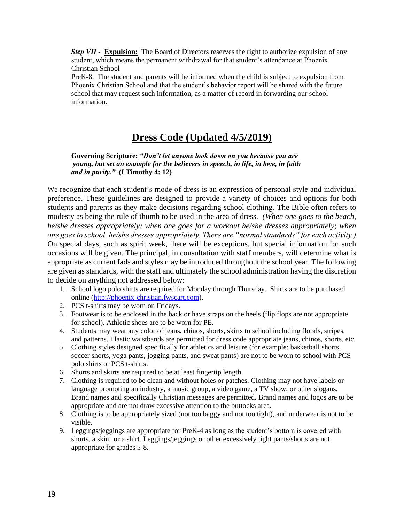*Step VII* **- Expulsion:** The Board of Directors reserves the right to authorize expulsion of any student, which means the permanent withdrawal for that student's attendance at Phoenix Christian School

PreK-8. The student and parents will be informed when the child is subject to expulsion from Phoenix Christian School and that the student's behavior report will be shared with the future school that may request such information, as a matter of record in forwarding our school information.

### **Dress Code (Updated 4/5/2019)**

 **Governing Scripture:** *"Don't let anyone look down on you because you are young, but set an example for the believers in speech, in life, in love, in faith and in purity."* **(I Timothy 4: 12)**

We recognize that each student's mode of dress is an expression of personal style and individual preference. These guidelines are designed to provide a variety of choices and options for both students and parents as they make decisions regarding school clothing. The Bible often refers to modesty as being the rule of thumb to be used in the area of dress. *(When one goes to the beach, he/she dresses appropriately; when one goes for a workout he/she dresses appropriately; when one goes to school, he/she dresses appropriately. There are "normal standards" for each activity.)* On special days, such as spirit week, there will be exceptions, but special information for such occasions will be given. The principal, in consultation with staff members, will determine what is appropriate as current fads and styles may be introduced throughout the school year. The following are given as standards, with the staff and ultimately the school administration having the discretion to decide on anything not addressed below:

- 1. School logo polo shirts are required for Monday through Thursday. Shirts are to be purchased online [\(http://phoenix-christian.fwscart.com\)](http://phoenix-christian.fwscart.com/).
- 2. PCS t-shirts may be worn on Fridays.
- 3. Footwear is to be enclosed in the back or have straps on the heels (flip flops are not appropriate for school). Athletic shoes are to be worn for PE.
- 4. Students may wear any color of jeans, chinos, shorts, skirts to school including florals, stripes, and patterns. Elastic waistbands are permitted for dress code appropriate jeans, chinos, shorts, etc.
- 5. Clothing styles designed specifically for athletics and leisure (for example: basketball shorts, soccer shorts, yoga pants, jogging pants, and sweat pants) are not to be worn to school with PCS polo shirts or PCS t-shirts.
- 6. Shorts and skirts are required to be at least fingertip length.
- 7. Clothing is required to be clean and without holes or patches. Clothing may not have labels or language promoting an industry, a music group, a video game, a TV show, or other slogans. Brand names and specifically Christian messages are permitted. Brand names and logos are to be appropriate and are not draw excessive attention to the buttocks area.
- 8. Clothing is to be appropriately sized (not too baggy and not too tight), and underwear is not to be visible.
- 9. Leggings/jeggings are appropriate for PreK-4 as long as the student's bottom is covered with shorts, a skirt, or a shirt. Leggings/jeggings or other excessively tight pants/shorts are not appropriate for grades 5-8.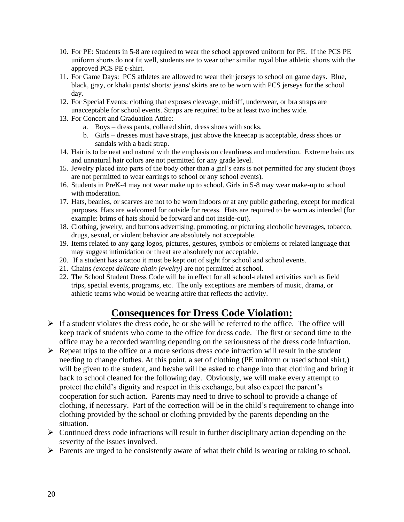- 10. For PE: Students in 5-8 are required to wear the school approved uniform for PE. If the PCS PE uniform shorts do not fit well, students are to wear other similar royal blue athletic shorts with the approved PCS PE t-shirt.
- 11. For Game Days: PCS athletes are allowed to wear their jerseys to school on game days. Blue, black, gray, or khaki pants/ shorts/ jeans/ skirts are to be worn with PCS jerseys for the school day.
- 12. For Special Events: clothing that exposes cleavage, midriff, underwear, or bra straps are unacceptable for school events. Straps are required to be at least two inches wide.
- 13. For Concert and Graduation Attire:
	- a. Boys dress pants, collared shirt, dress shoes with socks.
	- b. Girls dresses must have straps, just above the kneecap is acceptable, dress shoes or sandals with a back strap.
- 14. Hair is to be neat and natural with the emphasis on cleanliness and moderation. Extreme haircuts and unnatural hair colors are not permitted for any grade level.
- 15. Jewelry placed into parts of the body other than a girl's ears is not permitted for any student (boys are not permitted to wear earrings to school or any school events).
- 16. Students in PreK-4 may not wear make up to school. Girls in 5-8 may wear make-up to school with moderation.
- 17. Hats, beanies, or scarves are not to be worn indoors or at any public gathering, except for medical purposes. Hats are welcomed for outside for recess. Hats are required to be worn as intended (for example: brims of hats should be forward and not inside-out).
- 18. Clothing, jewelry, and buttons advertising, promoting, or picturing alcoholic beverages, tobacco, drugs, sexual, or violent behavior are absolutely not acceptable.
- 19. Items related to any gang logos, pictures, gestures, symbols or emblems or related language that may suggest intimidation or threat are absolutely not acceptable.
- 20. If a student has a tattoo it must be kept out of sight for school and school events.
- 21. Chains *(except delicate chain jewelry)* are not permitted at school.
- 22. The School Student Dress Code will be in effect for all school-related activities such as field trips, special events, programs, etc. The only exceptions are members of music, drama, or athletic teams who would be wearing attire that reflects the activity.

### **Consequences for Dress Code Violation:**

- $\triangleright$  If a student violates the dress code, he or she will be referred to the office. The office will keep track of students who come to the office for dress code. The first or second time to the office may be a recorded warning depending on the seriousness of the dress code infraction.
- $\triangleright$  Repeat trips to the office or a more serious dress code infraction will result in the student needing to change clothes. At this point, a set of clothing (PE uniform or used school shirt,) will be given to the student, and he/she will be asked to change into that clothing and bring it back to school cleaned for the following day. Obviously, we will make every attempt to protect the child's dignity and respect in this exchange, but also expect the parent's cooperation for such action. Parents may need to drive to school to provide a change of clothing, if necessary. Part of the correction will be in the child's requirement to change into clothing provided by the school or clothing provided by the parents depending on the situation.
- $\triangleright$  Continued dress code infractions will result in further disciplinary action depending on the severity of the issues involved.
- $\triangleright$  Parents are urged to be consistently aware of what their child is wearing or taking to school.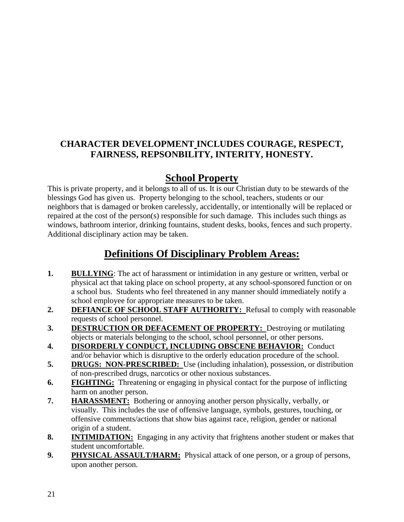### **CHARACTER DEVELOPMENT INCLUDES COURAGE, RESPECT, FAIRNESS, REPSONBILITY, INTERITY, HONESTY.**

### **School Property**

This is private property, and it belongs to all of us. It is our Christian duty to be stewards of the blessings God has given us. Property belonging to the school, teachers, students or our neighbors that is damaged or broken carelessly, accidentally, or intentionally will be replaced or repaired at the cost of the person(s) responsible for such damage. This includes such things as windows, bathroom interior, drinking fountains, student desks, books, fences and such property. Additional disciplinary action may be taken.

### **Definitions Of Disciplinary Problem Areas:**

- **1. BULLYING**: The act of harassment or intimidation in any gesture or written, verbal or physical act that taking place on school property, at any school-sponsored function or on a school bus. Students who feel threatened in any manner should immediately notify a school employee for appropriate measures to be taken.
- 2. **DEFIANCE OF SCHOOL STAFF AUTHORITY:** Refusal to comply with reasonable requests of school personnel.
- **3. DESTRUCTION OR DEFACEMENT OF PROPERTY:** Destroying or mutilating objects or materials belonging to the school, school personnel, or other persons.
- **4. DISORDERLY CONDUCT, INCLUDING OBSCENE BEHAVIOR:** Conduct and/or behavior which is disruptive to the orderly education procedure of the school.
- **5. DRUGS: NON-PRESCRIBED:** Use (including inhalation), possession, or distribution of non-prescribed drugs, narcotics or other noxious substances.
- **6. FIGHTING:** Threatening or engaging in physical contact for the purpose of inflicting harm on another person.
- **7. HARASSMENT:** Bothering or annoying another person physically, verbally, or visually. This includes the use of offensive language, symbols, gestures, touching, or offensive comments/actions that show bias against race, religion, gender or national origin of a student.
- **8. INTIMIDATION:** Engaging in any activity that frightens another student or makes that student uncomfortable.
- **9. PHYSICAL ASSAULT/HARM:** Physical attack of one person, or a group of persons, upon another person.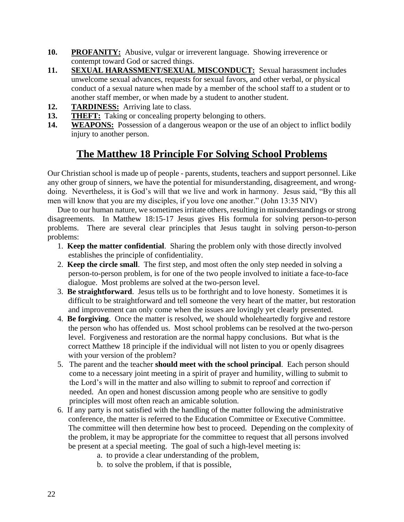- **10. PROFANITY:** Abusive, vulgar or irreverent language. Showing irreverence or contempt toward God or sacred things.
- **11. SEXUAL HARASSMENT/SEXUAL MISCONDUCT:** Sexual harassment includes unwelcome sexual advances, requests for sexual favors, and other verbal, or physical conduct of a sexual nature when made by a member of the school staff to a student or to another staff member, or when made by a student to another student.
- **12. TARDINESS:** Arriving late to class.
- **13. THEFT:** Taking or concealing property belonging to others.
- **14. WEAPONS:** Possession of a dangerous weapon or the use of an object to inflict bodily injury to another person.

### **The Matthew 18 Principle For Solving School Problems**

Our Christian school is made up of people - parents, students, teachers and support personnel. Like any other group of sinners, we have the potential for misunderstanding, disagreement, and wrongdoing. Nevertheless, it is God's will that we live and work in harmony. Jesus said, "By this all men will know that you are my disciples, if you love one another." (John 13:35 NIV)

 Due to our human nature, we sometimes irritate others, resulting in misunderstandings or strong disagreements. In Matthew 18:15-17 Jesus gives His formula for solving person-to-person problems. There are several clear principles that Jesus taught in solving person-to-person problems:

- 1. **Keep the matter confidential**. Sharing the problem only with those directly involved establishes the principle of confidentiality.
- 2. **Keep the circle small**. The first step, and most often the only step needed in solving a person-to-person problem, is for one of the two people involved to initiate a face-to-face dialogue. Most problems are solved at the two-person level.
- 3. **Be straightforward**. Jesus tells us to be forthright and to love honesty. Sometimes it is difficult to be straightforward and tell someone the very heart of the matter, but restoration and improvement can only come when the issues are lovingly yet clearly presented.
- 4. **Be forgiving**. Once the matter is resolved, we should wholeheartedly forgive and restore the person who has offended us. Most school problems can be resolved at the two-person level. Forgiveness and restoration are the normal happy conclusions. But what is the correct Matthew 18 principle if the individual will not listen to you or openly disagrees with your version of the problem?
- 5. The parent and the teacher **should meet with the school principal**. Each person should come to a necessary joint meeting in a spirit of prayer and humility, willing to submit to the Lord's will in the matter and also willing to submit to reproof and correction if needed. An open and honest discussion among people who are sensitive to godly principles will most often reach an amicable solution.
- 6. If any party is not satisfied with the handling of the matter following the administrative conference, the matter is referred to the Education Committee or Executive Committee. The committee will then determine how best to proceed. Depending on the complexity of the problem, it may be appropriate for the committee to request that all persons involved be present at a special meeting. The goal of such a high-level meeting is:
	- a. to provide a clear understanding of the problem,
	- b. to solve the problem, if that is possible,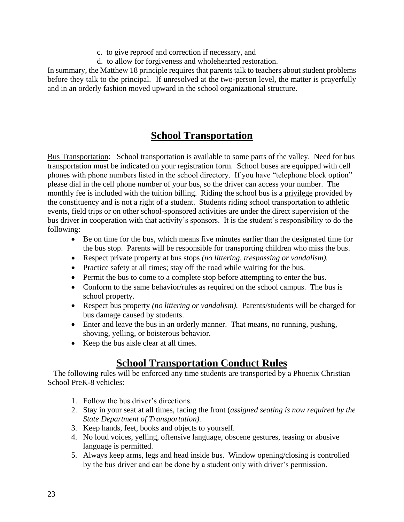- c. to give reproof and correction if necessary, and
- d. to allow for forgiveness and wholehearted restoration.

In summary, the Matthew 18 principle requires that parents talk to teachers about student problems before they talk to the principal. If unresolved at the two-person level, the matter is prayerfully and in an orderly fashion moved upward in the school organizational structure.

### **School Transportation**

Bus Transportation: School transportation is available to some parts of the valley. Need for bus transportation must be indicated on your registration form. School buses are equipped with cell phones with phone numbers listed in the school directory. If you have "telephone block option" please dial in the cell phone number of your bus, so the driver can access your number. The monthly fee is included with the tuition billing. Riding the school bus is a privilege provided by the constituency and is not a right of a student. Students riding school transportation to athletic events, field trips or on other school-sponsored activities are under the direct supervision of the bus driver in cooperation with that activity's sponsors. It is the student's responsibility to do the following:

- Be on time for the bus, which means five minutes earlier than the designated time for the bus stop. Parents will be responsible for transporting children who miss the bus.
- Respect private property at bus stops *(no littering, trespassing or vandalism).*
- Practice safety at all times; stay off the road while waiting for the bus.
- Permit the bus to come to a complete stop before attempting to enter the bus.
- Conform to the same behavior/rules as required on the school campus. The bus is school property.
- Respect bus property *(no littering or vandalism).* Parents/students will be charged for bus damage caused by students.
- Enter and leave the bus in an orderly manner. That means, no running, pushing, shoving, yelling, or boisterous behavior.
- Keep the bus aisle clear at all times.

### **School Transportation Conduct Rules**

 The following rules will be enforced any time students are transported by a Phoenix Christian School PreK-8 vehicles:

- 1. Follow the bus driver's directions.
- 2. Stay in your seat at all times, facing the front (*assigned seating is now required by the State Department of Transportation).*
- 3. Keep hands, feet, books and objects to yourself.
- 4. No loud voices, yelling, offensive language, obscene gestures, teasing or abusive language is permitted.
- 5. Always keep arms, legs and head inside bus. Window opening/closing is controlled by the bus driver and can be done by a student only with driver's permission.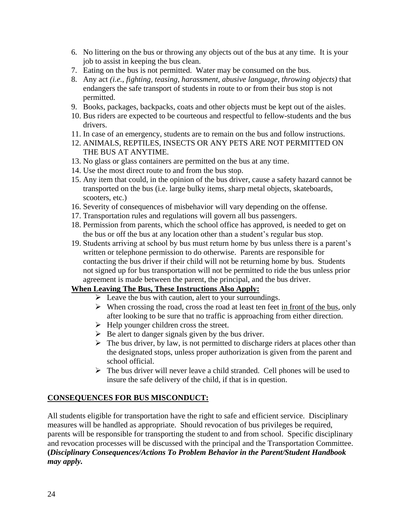- 6. No littering on the bus or throwing any objects out of the bus at any time. It is your job to assist in keeping the bus clean.
- 7. Eating on the bus is not permitted. Water may be consumed on the bus.
- 8. Any act *(i.e., fighting, teasing, harassment, abusive language, throwing objects)* that endangers the safe transport of students in route to or from their bus stop is not permitted.
- 9. Books, packages, backpacks, coats and other objects must be kept out of the aisles.
- 10. Bus riders are expected to be courteous and respectful to fellow-students and the bus drivers.
- 11. In case of an emergency, students are to remain on the bus and follow instructions.
- 12. ANIMALS, REPTILES, INSECTS OR ANY PETS ARE NOT PERMITTED ON THE BUS AT ANYTIME.
- 13. No glass or glass containers are permitted on the bus at any time.
- 14. Use the most direct route to and from the bus stop.
- 15. Any item that could, in the opinion of the bus driver, cause a safety hazard cannot be transported on the bus (i.e. large bulky items, sharp metal objects, skateboards, scooters, etc.)
- 16. Severity of consequences of misbehavior will vary depending on the offense.
- 17. Transportation rules and regulations will govern all bus passengers.
- 18. Permission from parents, which the school office has approved, is needed to get on the bus or off the bus at any location other than a student's regular bus stop.
- 19. Students arriving at school by bus must return home by bus unless there is a parent's written or telephone permission to do otherwise. Parents are responsible for contacting the bus driver if their child will not be returning home by bus. Students not signed up for bus transportation will not be permitted to ride the bus unless prior agreement is made between the parent, the principal, and the bus driver.

### **When Leaving The Bus, These Instructions Also Apply:**

- $\triangleright$  Leave the bus with caution, alert to your surroundings.
- $\triangleright$  When crossing the road, cross the road at least ten feet in front of the bus, only after looking to be sure that no traffic is approaching from either direction.
- $\triangleright$  Help younger children cross the street.
- $\triangleright$  Be alert to danger signals given by the bus driver.
- $\triangleright$  The bus driver, by law, is not permitted to discharge riders at places other than the designated stops, unless proper authorization is given from the parent and school official.
- $\triangleright$  The bus driver will never leave a child stranded. Cell phones will be used to insure the safe delivery of the child, if that is in question.

### **CONSEQUENCES FOR BUS MISCONDUCT:**

All students eligible for transportation have the right to safe and efficient service. Disciplinary measures will be handled as appropriate. Should revocation of bus privileges be required, parents will be responsible for transporting the student to and from school. Specific disciplinary and revocation processes will be discussed with the principal and the Transportation Committee. **(***Disciplinary Consequences/Actions To Problem Behavior in the Parent/Student Handbook may apply.*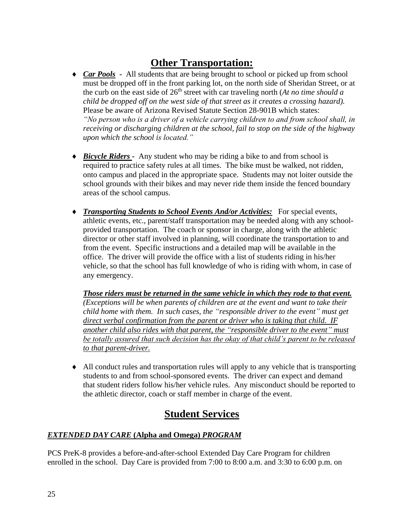### **Other Transportation:**

- ◆ *Car Pools* All students that are being brought to school or picked up from school must be dropped off in the front parking lot, on the north side of Sheridan Street, or at the curb on the east side of  $26<sup>th</sup>$  street with car traveling north (*At no time should a child be dropped off on the west side of that street as it creates a crossing hazard).*  Please be aware of Arizona Revised Statute Section 28-901B which states: *"No person who is a driver of a vehicle carrying children to and from school shall, in receiving or discharging children at the school, fail to stop on the side of the highway upon which the school is located."*
- *Bicycle Riders* Any student who may be riding a bike to and from school is required to practice safety rules at all times. The bike must be walked, not ridden, onto campus and placed in the appropriate space. Students may not loiter outside the school grounds with their bikes and may never ride them inside the fenced boundary areas of the school campus.
- *Transporting Students to School Events And/or Activities:*For special events, athletic events, etc., parent/staff transportation may be needed along with any schoolprovided transportation. The coach or sponsor in charge, along with the athletic director or other staff involved in planning, will coordinate the transportation to and from the event. Specific instructions and a detailed map will be available in the office. The driver will provide the office with a list of students riding in his/her vehicle, so that the school has full knowledge of who is riding with whom, in case of any emergency.

*Those riders must be returned in the same vehicle in which they rode to that event.* *(Exceptions will be when parents of children are at the event and want to take their child home with them. In such cases, the "responsible driver to the event" must get direct verbal confirmation from the parent or driver who is taking that child. IF another child also rides with that parent, the "responsible driver to the event" must be totally assured that such decision has the okay of that child's parent to be released to that parent-driver.*

 All conduct rules and transportation rules will apply to any vehicle that is transporting students to and from school-sponsored events. The driver can expect and demand that student riders follow his/her vehicle rules. Any misconduct should be reported to the athletic director, coach or staff member in charge of the event.

### **Student Services**

### *EXTENDED DAY CARE* **(Alpha and Omega)** *PROGRAM*

PCS PreK-8 provides a before-and-after-school Extended Day Care Program for children enrolled in the school. Day Care is provided from 7:00 to 8:00 a.m. and 3:30 to 6:00 p.m. on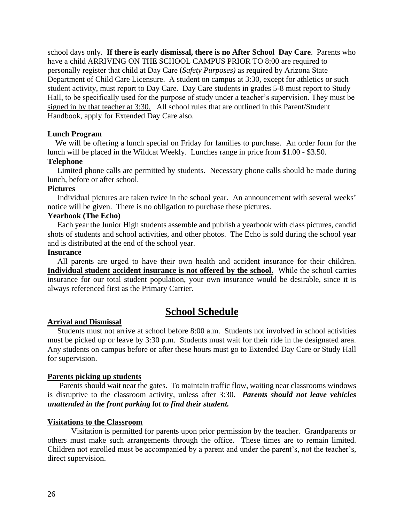school days only. **If there is early dismissal, there is no After School Day Care**. Parents who have a child ARRIVING ON THE SCHOOL CAMPUS PRIOR TO 8:00 are required to personally register that child at Day Care (*Safety Purposes)* as required by Arizona State Department of Child Care Licensure. A student on campus at 3:30, except for athletics or such student activity, must report to Day Care. Day Care students in grades 5-8 must report to Study Hall, to be specifically used for the purpose of study under a teacher's supervision. They must be signed in by that teacher at 3:30. All school rules that are outlined in this Parent/Student Handbook, apply for Extended Day Care also.

#### **Lunch Program**

 We will be offering a lunch special on Friday for families to purchase. An order form for the lunch will be placed in the Wildcat Weekly. Lunches range in price from \$1.00 - \$3.50. **Telephone**

 Limited phone calls are permitted by students. Necessary phone calls should be made during lunch, before or after school.

#### **Pictures**

 Individual pictures are taken twice in the school year. An announcement with several weeks' notice will be given. There is no obligation to purchase these pictures.

#### **Yearbook (The Echo)**

 Each year the Junior High students assemble and publish a yearbook with class pictures, candid shots of students and school activities, and other photos. The Echo is sold during the school year and is distributed at the end of the school year.

#### **Insurance**

 All parents are urged to have their own health and accident insurance for their children. **Individual student accident insurance is not offered by the school.** While the school carries insurance for our total student population, your own insurance would be desirable, since it is always referenced first as the Primary Carrier.

### **School Schedule**

#### **Arrival and Dismissal**

 Students must not arrive at school before 8:00 a.m. Students not involved in school activities must be picked up or leave by 3:30 p.m. Students must wait for their ride in the designated area. Any students on campus before or after these hours must go to Extended Day Care or Study Hall for supervision.

#### **Parents picking up students**

Parents should wait near the gates. To maintain traffic flow, waiting near classrooms windows is disruptive to the classroom activity, unless after 3:30. *Parents should not leave vehicles unattended in the front parking lot to find their student.*

#### **Visitations to the Classroom**

Visitation is permitted for parents upon prior permission by the teacher. Grandparents or others must make such arrangements through the office. These times are to remain limited. Children not enrolled must be accompanied by a parent and under the parent's, not the teacher's, direct supervision.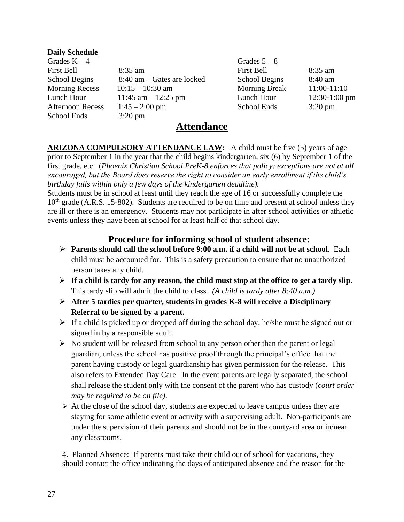### **Daily Schedule**

| Grades $K - 4$          |                            | Grades $5-8$         |                   |
|-------------------------|----------------------------|----------------------|-------------------|
| <b>First Bell</b>       | $8:35$ am                  | <b>First Bell</b>    | 8:35 am           |
| School Begins           | 8:40 am – Gates are locked | <b>School Begins</b> | 8:40 am           |
| <b>Morning Recess</b>   | $10:15 - 10:30$ am         | <b>Morning Break</b> | $11:00-1$         |
| Lunch Hour              | 11:45 am $-$ 12:25 pm      | Lunch Hour           | $12:30-1$         |
| <b>Afternoon Recess</b> | $1:45 - 2:00$ pm           | School Ends          | $3:20 \text{ pm}$ |
| School Ends             | $3:20 \text{ pm}$          |                      |                   |

Grades  $5 - 8$ ed School Begins 8:40 am Morning Break  $11:00-11:10$ Lunch Hour  $12:30-1:00$  pm School Ends 3:20 pm

### **Attendance**

**ARIZONA COMPULSORY ATTENDANCE LAW:** A child must be five (5) years of age prior to September 1 in the year that the child begins kindergarten, six (6) by September 1 of the first grade, etc. (*Phoenix Christian School PreK-8 enforces that policy; exceptions are not at all encouraged, but the Board does reserve the right to consider an early enrollment if the child's birthday falls within only a few days of the kindergarten deadline).*

Students must be in school at least until they reach the age of 16 or successfully complete the  $10<sup>th</sup>$  grade (A.R.S. 15-802). Students are required to be on time and present at school unless they are ill or there is an emergency. Students may not participate in after school activities or athletic events unless they have been at school for at least half of that school day.

### **Procedure for informing school of student absence:**

- **Parents should call the school before 9:00 a.m. if a child will not be at school**. Each child must be accounted for. This is a safety precaution to ensure that no unauthorized person takes any child.
- **If a child is tardy for any reason, the child must stop at the office to get a tardy slip**. This tardy slip will admit the child to class*. (A child is tardy after 8:40 a.m.)*
- **After 5 tardies per quarter, students in grades K-8 will receive a Disciplinary Referral to be signed by a parent.**
- $\triangleright$  If a child is picked up or dropped off during the school day, he/she must be signed out or signed in by a responsible adult.
- $\triangleright$  No student will be released from school to any person other than the parent or legal guardian, unless the school has positive proof through the principal's office that the parent having custody or legal guardianship has given permission for the release. This also refers to Extended Day Care. In the event parents are legally separated, the school shall release the student only with the consent of the parent who has custody (*court order may be required to be on file)*.
- $\triangleright$  At the close of the school day, students are expected to leave campus unless they are staying for some athletic event or activity with a supervising adult. Non-participants are under the supervision of their parents and should not be in the courtyard area or in/near any classrooms.

4. Planned Absence: If parents must take their child out of school for vacations, they should contact the office indicating the days of anticipated absence and the reason for the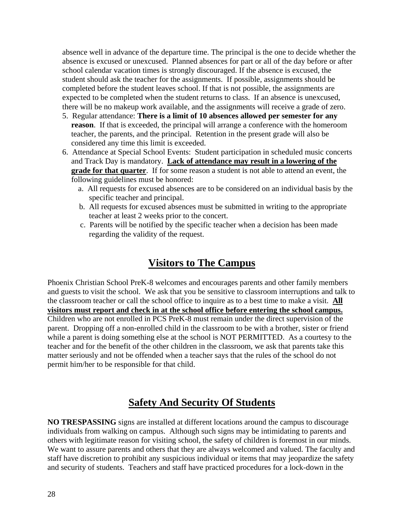absence well in advance of the departure time. The principal is the one to decide whether the absence is excused or unexcused. Planned absences for part or all of the day before or after school calendar vacation times is strongly discouraged. If the absence is excused, the student should ask the teacher for the assignments. If possible, assignments should be completed before the student leaves school. If that is not possible, the assignments are expected to be completed when the student returns to class. If an absence is unexcused, there will be no makeup work available, and the assignments will receive a grade of zero.

- 5. Regular attendance: **There is a limit of 10 absences allowed per semester for any reason**. If that is exceeded, the principal will arrange a conference with the homeroom teacher, the parents, and the principal. Retention in the present grade will also be considered any time this limit is exceeded.
- 6. Attendance at Special School Events: Student participation in scheduled music concerts and Track Day is mandatory. **Lack of attendance may result in a lowering of the grade for that quarter**. If for some reason a student is not able to attend an event, the following guidelines must be honored:
	- a. All requests for excused absences are to be considered on an individual basis by the specific teacher and principal.
	- b. All requests for excused absences must be submitted in writing to the appropriate teacher at least 2 weeks prior to the concert.
	- c. Parents will be notified by the specific teacher when a decision has been made regarding the validity of the request.

### **Visitors to The Campus**

Phoenix Christian School PreK-8 welcomes and encourages parents and other family members and guests to visit the school. We ask that you be sensitive to classroom interruptions and talk to the classroom teacher or call the school office to inquire as to a best time to make a visit. **All visitors must report and check in at the school office before entering the school campus.**  Children who are not enrolled in PCS PreK-8 must remain under the direct supervision of the parent. Dropping off a non-enrolled child in the classroom to be with a brother, sister or friend while a parent is doing something else at the school is NOT PERMITTED. As a courtesy to the teacher and for the benefit of the other children in the classroom, we ask that parents take this matter seriously and not be offended when a teacher says that the rules of the school do not permit him/her to be responsible for that child.

### **Safety And Security Of Students**

**NO TRESPASSING** signs are installed at different locations around the campus to discourage individuals from walking on campus. Although such signs may be intimidating to parents and others with legitimate reason for visiting school, the safety of children is foremost in our minds. We want to assure parents and others that they are always welcomed and valued. The faculty and staff have discretion to prohibit any suspicious individual or items that may jeopardize the safety and security of students. Teachers and staff have practiced procedures for a lock-down in the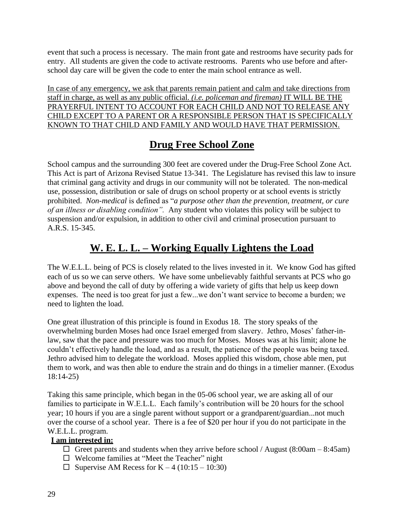event that such a process is necessary. The main front gate and restrooms have security pads for entry. All students are given the code to activate restrooms. Parents who use before and afterschool day care will be given the code to enter the main school entrance as well.

In case of any emergency, we ask that parents remain patient and calm and take directions from staff in charge, as well as any public official. *(i.e. policeman and fireman)* IT WILL BE THE PRAYERFUL INTENT TO ACCOUNT FOR EACH CHILD AND NOT TO RELEASE ANY CHILD EXCEPT TO A PARENT OR A RESPONSIBLE PERSON THAT IS SPECIFICALLY KNOWN TO THAT CHILD AND FAMILY AND WOULD HAVE THAT PERMISSION.

### **Drug Free School Zone**

School campus and the surrounding 300 feet are covered under the Drug-Free School Zone Act. This Act is part of Arizona Revised Statue 13-341. The Legislature has revised this law to insure that criminal gang activity and drugs in our community will not be tolerated. The non-medical use, possession, distribution or sale of drugs on school property or at school events is strictly prohibited. *Non-medical* is defined as "*a purpose other than the prevention, treatment, or cure of an illness or disabling condition".* Any student who violates this policy will be subject to suspension and/or expulsion, in addition to other civil and criminal prosecution pursuant to A.R.S. 15-345.

## **W. E. L. L. – Working Equally Lightens the Load**

The W.E.L.L. being of PCS is closely related to the lives invested in it. We know God has gifted each of us so we can serve others. We have some unbelievably faithful servants at PCS who go above and beyond the call of duty by offering a wide variety of gifts that help us keep down expenses. The need is too great for just a few...we don't want service to become a burden; we need to lighten the load.

One great illustration of this principle is found in Exodus 18. The story speaks of the overwhelming burden Moses had once Israel emerged from slavery. Jethro, Moses' father-inlaw, saw that the pace and pressure was too much for Moses. Moses was at his limit; alone he couldn't effectively handle the load, and as a result, the patience of the people was being taxed. Jethro advised him to delegate the workload. Moses applied this wisdom, chose able men, put them to work, and was then able to endure the strain and do things in a timelier manner. (Exodus 18:14-25)

Taking this same principle, which began in the 05-06 school year, we are asking all of our families to participate in W.E.L.L. Each family's contribution will be 20 hours for the school year; 10 hours if you are a single parent without support or a grandparent/guardian...not much over the course of a school year. There is a fee of \$20 per hour if you do not participate in the W.E.L.L. program.

### **I am interested in:**

- $\Box$  Greet parents and students when they arrive before school / August (8:00am 8:45am)
- $\square$  Welcome families at "Meet the Teacher" night
- $\Box$  Supervise AM Recess for K 4 (10:15 10:30)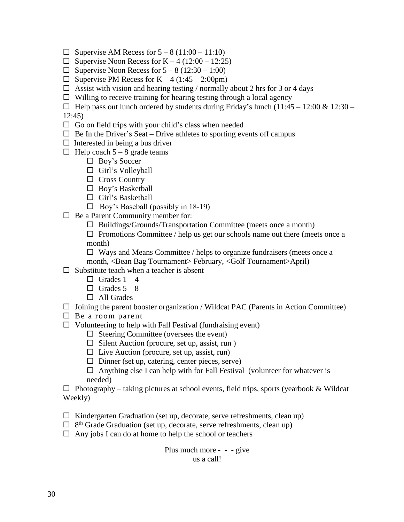- $\Box$  Supervise AM Recess for  $5 8$  (11:00 11:10)
- $\Box$  Supervise Noon Recess for K 4 (12:00 12:25)
- $\Box$  Supervise Noon Recess for  $5 8 (12:30 1:00)$
- $\Box$  Supervise PM Recess for K 4 (1:45 2:00pm)
- $\Box$  Assist with vision and hearing testing / normally about 2 hrs for 3 or 4 days
- $\Box$  Willing to receive training for hearing testing through a local agency
- $\Box$  Help pass out lunch ordered by students during Friday's lunch (11:45 12:00 & 12:30 –

12:45)

- $\Box$  Go on field trips with your child's class when needed
- $\Box$  Be In the Driver's Seat Drive athletes to sporting events off campus
- $\Box$  Interested in being a bus driver
- $\Box$  Help coach 5 8 grade teams
	- □ Boy's Soccer
	- $\Box$  Girl's Volleyball
	- $\Box$  Cross Country
	- $\Box$  Boy's Basketball
	- $\Box$  Girl's Basketball
	- $\Box$  Boy's Baseball (possibly in 18-19)
- $\Box$  Be a Parent Community member for:
	- $\square$  Buildings/Grounds/Transportation Committee (meets once a month)

 $\Box$  Promotions Committee / help us get our schools name out there (meets once a month)

 $\Box$  Ways and Means Committee / helps to organize fundraisers (meets once a month, <Bean Bag Tournament> February, <Golf Tournament>April)

- $\Box$  Substitute teach when a teacher is absent
	- $\Box$  Grades 1 4
	- $\Box$  Grades  $5 8$
	- $\Box$  All Grades
- $\Box$  Joining the parent booster organization / Wildcat PAC (Parents in Action Committee)
- $\Box$  Be a room parent
- $\Box$  Volunteering to help with Fall Festival (fundraising event)
	- $\Box$  Steering Committee (oversees the event)
	- $\Box$  Silent Auction (procure, set up, assist, run)
	- $\Box$  Live Auction (procure, set up, assist, run)
	- $\Box$  Dinner (set up, catering, center pieces, serve)

 $\Box$  Anything else I can help with for Fall Festival (volunteer for whatever is needed)

 $\Box$  Photography – taking pictures at school events, field trips, sports (yearbook & Wildcat Weekly)

- $\Box$  Kindergarten Graduation (set up, decorate, serve refreshments, clean up)
- $\Box$  8<sup>th</sup> Grade Graduation (set up, decorate, serve refreshments, clean up)
- $\Box$  Any jobs I can do at home to help the school or teachers

Plus much more - - - give us a call!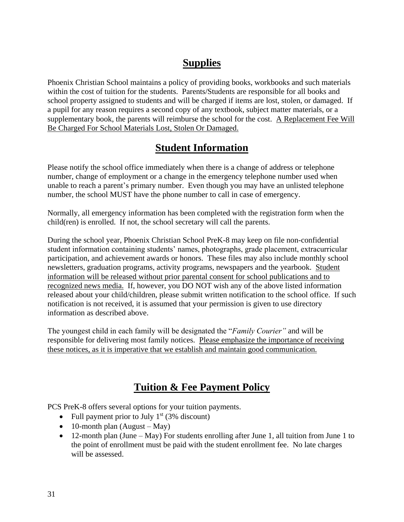### **Supplies**

Phoenix Christian School maintains a policy of providing books, workbooks and such materials within the cost of tuition for the students. Parents/Students are responsible for all books and school property assigned to students and will be charged if items are lost, stolen, or damaged. If a pupil for any reason requires a second copy of any textbook, subject matter materials, or a supplementary book, the parents will reimburse the school for the cost. A Replacement Fee Will Be Charged For School Materials Lost, Stolen Or Damaged.

### **Student Information**

Please notify the school office immediately when there is a change of address or telephone number, change of employment or a change in the emergency telephone number used when unable to reach a parent's primary number. Even though you may have an unlisted telephone number, the school MUST have the phone number to call in case of emergency.

Normally, all emergency information has been completed with the registration form when the child(ren) is enrolled. If not, the school secretary will call the parents.

During the school year, Phoenix Christian School PreK-8 may keep on file non-confidential student information containing students' names, photographs, grade placement, extracurricular participation, and achievement awards or honors. These files may also include monthly school newsletters, graduation programs, activity programs, newspapers and the yearbook. Student information will be released without prior parental consent for school publications and to recognized news media. If, however, you DO NOT wish any of the above listed information released about your child/children, please submit written notification to the school office. If such notification is not received, it is assumed that your permission is given to use directory information as described above.

The youngest child in each family will be designated the "*Family Courier"* and will be responsible for delivering most family notices. Please emphasize the importance of receiving these notices, as it is imperative that we establish and maintain good communication.

### **Tuition & Fee Payment Policy**

PCS PreK-8 offers several options for your tuition payments.

- Full payment prior to July  $1<sup>st</sup>$  (3% discount)
- 10-month plan (August May)
- $\bullet$  12-month plan (June May) For students enrolling after June 1, all tuition from June 1 to the point of enrollment must be paid with the student enrollment fee. No late charges will be assessed.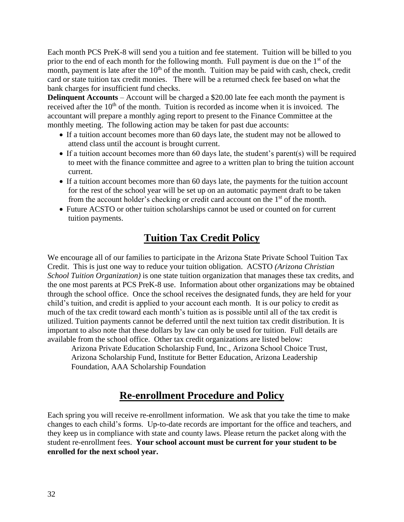Each month PCS PreK-8 will send you a tuition and fee statement. Tuition will be billed to you prior to the end of each month for the following month. Full payment is due on the  $1<sup>st</sup>$  of the month, payment is late after the  $10<sup>th</sup>$  of the month. Tuition may be paid with cash, check, credit card or state tuition tax credit monies. There will be a returned check fee based on what the bank charges for insufficient fund checks.

**Delinquent Accounts** – Account will be charged a \$20.00 late fee each month the payment is received after the  $10<sup>th</sup>$  of the month. Tuition is recorded as income when it is invoiced. The accountant will prepare a monthly aging report to present to the Finance Committee at the monthly meeting. The following action may be taken for past due accounts:

- If a tuition account becomes more than 60 days late, the student may not be allowed to attend class until the account is brought current.
- If a tuition account becomes more than  $60$  days late, the student's parent(s) will be required to meet with the finance committee and agree to a written plan to bring the tuition account current.
- If a tuition account becomes more than 60 days late, the payments for the tuition account for the rest of the school year will be set up on an automatic payment draft to be taken from the account holder's checking or credit card account on the 1<sup>st</sup> of the month.
- Future ACSTO or other tuition scholarships cannot be used or counted on for current tuition payments.

### **Tuition Tax Credit Policy**

We encourage all of our families to participate in the Arizona State Private School Tuition Tax Credit. This is just one way to reduce your tuition obligation. ACSTO *(Arizona Christian School Tuition Organization)* is one state tuition organization that manages these tax credits, and the one most parents at PCS PreK-8 use. Information about other organizations may be obtained through the school office. Once the school receives the designated funds, they are held for your child's tuition, and credit is applied to your account each month. It is our policy to credit as much of the tax credit toward each month's tuition as is possible until all of the tax credit is utilized. Tuition payments cannot be deferred until the next tuition tax credit distribution. It is important to also note that these dollars by law can only be used for tuition. Full details are available from the school office. Other tax credit organizations are listed below:

Arizona Private Education Scholarship Fund, Inc., Arizona School Choice Trust, Arizona Scholarship Fund, Institute for Better Education, Arizona Leadership Foundation, AAA Scholarship Foundation

### **Re-enrollment Procedure and Policy**

Each spring you will receive re-enrollment information. We ask that you take the time to make changes to each child's forms. Up-to-date records are important for the office and teachers, and they keep us in compliance with state and county laws. Please return the packet along with the student re-enrollment fees. **Your school account must be current for your student to be enrolled for the next school year.**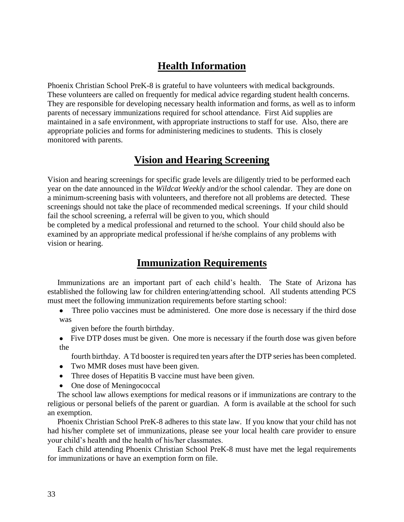### **Health Information**

Phoenix Christian School PreK-8 is grateful to have volunteers with medical backgrounds. These volunteers are called on frequently for medical advice regarding student health concerns. They are responsible for developing necessary health information and forms, as well as to inform parents of necessary immunizations required for school attendance. First Aid supplies are maintained in a safe environment, with appropriate instructions to staff for use. Also, there are appropriate policies and forms for administering medicines to students. This is closely monitored with parents.

### **Vision and Hearing Screening**

Vision and hearing screenings for specific grade levels are diligently tried to be performed each year on the date announced in the *Wildcat Weekly* and/or the school calendar. They are done on a minimum-screening basis with volunteers, and therefore not all problems are detected. These screenings should not take the place of recommended medical screenings. If your child should fail the school screening, a referral will be given to you, which should

be completed by a medical professional and returned to the school. Your child should also be examined by an appropriate medical professional if he/she complains of any problems with vision or hearing.

### **Immunization Requirements**

 Immunizations are an important part of each child's health. The State of Arizona has established the following law for children entering/attending school. All students attending PCS must meet the following immunization requirements before starting school:

• Three polio vaccines must be administered. One more dose is necessary if the third dose was

given before the fourth birthday.

• Five DTP doses must be given. One more is necessary if the fourth dose was given before the

fourth birthday. A Td booster is required ten years after the DTP series has been completed.

- Two MMR doses must have been given.
- Three doses of Hepatitis B vaccine must have been given.
- One dose of Meningococcal

 The school law allows exemptions for medical reasons or if immunizations are contrary to the religious or personal beliefs of the parent or guardian. A form is available at the school for such an exemption.

 Phoenix Christian School PreK-8 adheres to this state law. If you know that your child has not had his/her complete set of immunizations, please see your local health care provider to ensure your child's health and the health of his/her classmates.

 Each child attending Phoenix Christian School PreK-8 must have met the legal requirements for immunizations or have an exemption form on file.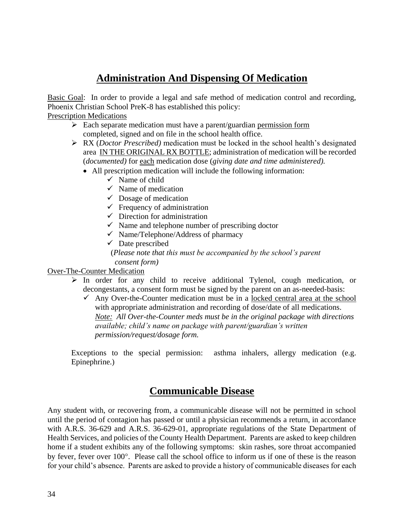### **Administration And Dispensing Of Medication**

Basic Goal: In order to provide a legal and safe method of medication control and recording, Phoenix Christian School PreK-8 has established this policy:

Prescription Medications

- $\triangleright$  Each separate medication must have a parent/guardian permission form completed, signed and on file in the school health office.
- RX (*Doctor Prescribed)* medication must be locked in the school health's designated area IN THE ORIGINAL RX BOTTLE; administration of medication will be recorded (*documented)* for each medication dose (*giving date and time administered).*
	- All prescription medication will include the following information:
		- $\checkmark$  Name of child
		- $\checkmark$  Name of medication
		- $\checkmark$  Dosage of medication
		- $\checkmark$  Frequency of administration
		- $\checkmark$  Direction for administration
		- $\checkmark$  Name and telephone number of prescribing doctor
		- $\checkmark$  Name/Telephone/Address of pharmacy
		- $\checkmark$  Date prescribed

 (*Please note that this must be accompanied by the school's parent consent form)*

#### Over-The-Counter Medication

- $\triangleright$  In order for any child to receive additional Tylenol, cough medication, or decongestants, a consent form must be signed by the parent on an as-needed-basis:
	- $\checkmark$  Any Over-the-Counter medication must be in a locked central area at the school with appropriate administration and recording of dose/date of all medications. *Note: All Over-the-Counter meds must be in the original package with directions available; child's name on package with parent/guardian's written permission/request/dosage form.*

Exceptions to the special permission: asthma inhalers, allergy medication (e.g. Epinephrine.)

### **Communicable Disease**

Any student with, or recovering from, a communicable disease will not be permitted in school until the period of contagion has passed or until a physician recommends a return, in accordance with A.R.S. 36-629 and A.R.S. 36-629-01, appropriate regulations of the State Department of Health Services, and policies of the County Health Department. Parents are asked to keep children home if a student exhibits any of the following symptoms: skin rashes, sore throat accompanied by fever, fever over 100<sup>o</sup>. Please call the school office to inform us if one of these is the reason for your child's absence. Parents are asked to provide a history of communicable diseases for each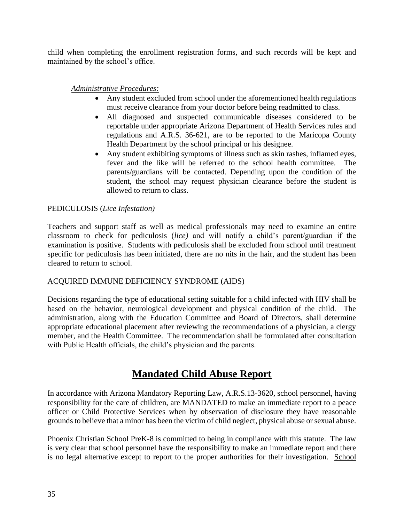child when completing the enrollment registration forms, and such records will be kept and maintained by the school's office.

### *Administrative Procedures:*

- Any student excluded from school under the aforementioned health regulations must receive clearance from your doctor before being readmitted to class.
- All diagnosed and suspected communicable diseases considered to be reportable under appropriate Arizona Department of Health Services rules and regulations and A.R.S. 36-621, are to be reported to the Maricopa County Health Department by the school principal or his designee.
- Any student exhibiting symptoms of illness such as skin rashes, inflamed eyes, fever and the like will be referred to the school health committee. The parents/guardians will be contacted. Depending upon the condition of the student, the school may request physician clearance before the student is allowed to return to class.

### PEDICULOSIS (*Lice Infestation)*

Teachers and support staff as well as medical professionals may need to examine an entire classroom to check for pediculosis (*lice)* and will notify a child's parent/guardian if the examination is positive. Students with pediculosis shall be excluded from school until treatment specific for pediculosis has been initiated, there are no nits in the hair, and the student has been cleared to return to school.

### ACQUIRED IMMUNE DEFICIENCY SYNDROME (AIDS)

Decisions regarding the type of educational setting suitable for a child infected with HIV shall be based on the behavior, neurological development and physical condition of the child. The administration, along with the Education Committee and Board of Directors, shall determine appropriate educational placement after reviewing the recommendations of a physician, a clergy member, and the Health Committee. The recommendation shall be formulated after consultation with Public Health officials, the child's physician and the parents.

### **Mandated Child Abuse Report**

In accordance with Arizona Mandatory Reporting Law, A.R.S.13-3620, school personnel, having responsibility for the care of children, are MANDATED to make an immediate report to a peace officer or Child Protective Services when by observation of disclosure they have reasonable grounds to believe that a minor has been the victim of child neglect, physical abuse or sexual abuse.

Phoenix Christian School PreK-8 is committed to being in compliance with this statute. The law is very clear that school personnel have the responsibility to make an immediate report and there is no legal alternative except to report to the proper authorities for their investigation. School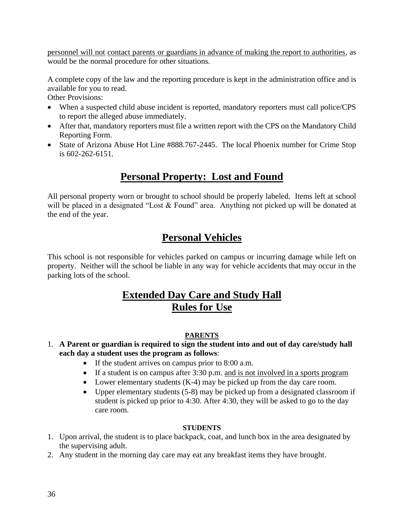personnel will not contact parents or guardians in advance of making the report to authorities, as would be the normal procedure for other situations.

A complete copy of the law and the reporting procedure is kept in the administration office and is available for you to read.

Other Provisions:

- When a suspected child abuse incident is reported, mandatory reporters must call police/CPS to report the alleged abuse immediately.
- After that, mandatory reporters must file a written report with the CPS on the Mandatory Child Reporting Form.
- State of Arizona Abuse Hot Line #888.767-2445. The local Phoenix number for Crime Stop is 602-262-6151.

### **Personal Property: Lost and Found**

All personal property worn or brought to school should be properly labeled. Items left at school will be placed in a designated "Lost & Found" area. Anything not picked up will be donated at the end of the year.

### **Personal Vehicles**

This school is not responsible for vehicles parked on campus or incurring damage while left on property. Neither will the school be liable in any way for vehicle accidents that may occur in the parking lots of the school.

### **Extended Day Care and Study Hall Rules for Use**

### **PARENTS**

### 1. **A Parent or guardian is required to sign the student into and out of day care/study hall each day a student uses the program as follows**:

- If the student arrives on campus prior to  $8:00$  a.m.
- If a student is on campus after 3:30 p.m. and is not involved in a sports program
- Lower elementary students  $(K-4)$  may be picked up from the day care room.
- Upper elementary students (5-8) may be picked up from a designated classroom if student is picked up prior to 4:30. After 4:30, they will be asked to go to the day care room.

#### **STUDENTS**

- 1. Upon arrival, the student is to place backpack, coat, and lunch box in the area designated by the supervising adult.
- 2. Any student in the morning day care may eat any breakfast items they have brought.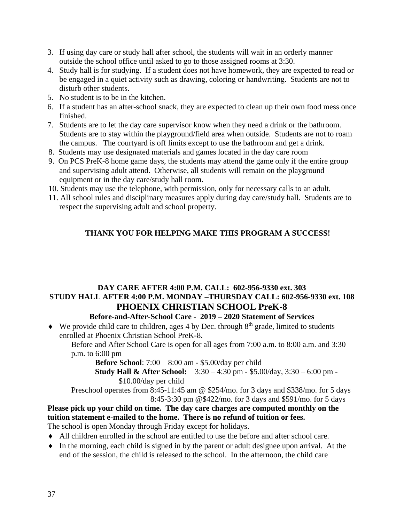- 3. If using day care or study hall after school, the students will wait in an orderly manner outside the school office until asked to go to those assigned rooms at 3:30.
- 4. Study hall is for studying. If a student does not have homework, they are expected to read or be engaged in a quiet activity such as drawing, coloring or handwriting. Students are not to disturb other students.
- 5. No student is to be in the kitchen.
- 6. If a student has an after-school snack, they are expected to clean up their own food mess once finished.
- 7. Students are to let the day care supervisor know when they need a drink or the bathroom. Students are to stay within the playground/field area when outside. Students are not to roam the campus. The courtyard is off limits except to use the bathroom and get a drink.
- 8. Students may use designated materials and games located in the day care room
- 9. On PCS PreK-8 home game days, the students may attend the game only if the entire group and supervising adult attend. Otherwise, all students will remain on the playground equipment or in the day care/study hall room.
- 10. Students may use the telephone, with permission, only for necessary calls to an adult.
- 11. All school rules and disciplinary measures apply during day care/study hall. Students are to respect the supervising adult and school property.

### **THANK YOU FOR HELPING MAKE THIS PROGRAM A SUCCESS!**

### **DAY CARE AFTER 4:00 P.M. CALL: 602-956-9330 ext. 303 STUDY HALL AFTER 4:00 P.M. MONDAY –THURSDAY CALL: 602-956-9330 ext. 108 PHOENIX CHRISTIAN SCHOOL PreK-8**

### **Before-and-After-School Care - 2019 – 2020 Statement of Services**

 $\blacklozenge$  We provide child care to children, ages 4 by Dec. through  $8<sup>th</sup>$  grade, limited to students enrolled at Phoenix Christian School PreK-8.

Before and After School Care is open for all ages from 7:00 a.m. to 8:00 a.m. and 3:30 p.m. to 6:00 pm

**Before School**: 7:00 – 8:00 am - \$5.00/day per child

**Study Hall & After School:** 3:30 – 4:30 pm - \$5.00/day, 3:30 – 6:00 pm - \$10.00/day per child

Preschool operates from 8:45-11:45 am @ \$254/mo. for 3 days and \$338/mo. for 5 days 8:45-3:30 pm @\$422/mo. for 3 days and \$591/mo. for 5 days

### **Please pick up your child on time. The day care charges are computed monthly on the tuition statement e-mailed to the home. There is no refund of tuition or fees.**

The school is open Monday through Friday except for holidays.

- All children enrolled in the school are entitled to use the before and after school care.
- In the morning, each child is signed in by the parent or adult designee upon arrival. At the end of the session, the child is released to the school. In the afternoon, the child care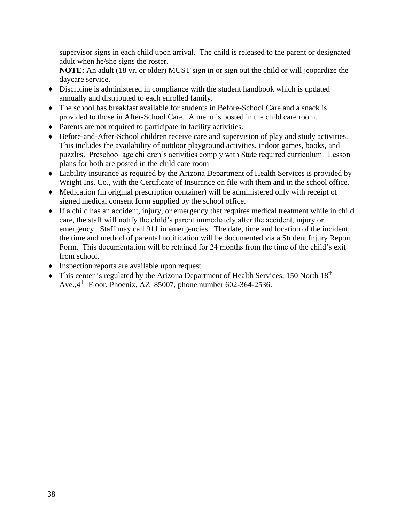supervisor signs in each child upon arrival. The child is released to the parent or designated adult when he/she signs the roster.

**NOTE:** An adult (18 yr. or older) MUST sign in or sign out the child or will jeopardize the daycare service.

- Discipline is administered in compliance with the student handbook which is updated annually and distributed to each enrolled family.
- The school has breakfast available for students in Before-School Care and a snack is provided to those in After-School Care. A menu is posted in the child care room.
- Parents are not required to participate in facility activities.
- Before-and-After-School children receive care and supervision of play and study activities. This includes the availability of outdoor playground activities, indoor games, books, and puzzles. Preschool age children's activities comply with State required curriculum. Lesson plans for both are posted in the child care room
- Liability insurance as required by the Arizona Department of Health Services is provided by Wright Ins. Co., with the Certificate of Insurance on file with them and in the school office.
- Medication (in original prescription container) will be administered only with receipt of signed medical consent form supplied by the school office.
- If a child has an accident, injury, or emergency that requires medical treatment while in child care, the staff will notify the child's parent immediately after the accident, injury or emergency. Staff may call 911 in emergencies. The date, time and location of the incident, the time and method of parental notification will be documented via a Student Injury Report Form. This documentation will be retained for 24 months from the time of the child's exit from school.
- $\bullet$  Inspection reports are available upon request.
- $\blacklozenge$  This center is regulated by the Arizona Department of Health Services, 150 North 18<sup>th</sup> Ave., $4<sup>th</sup>$  Floor, Phoenix, AZ 85007, phone number 602-364-2536.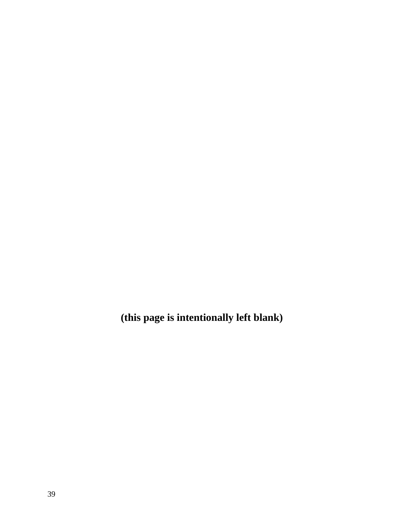**(this page is intentionally left blank)**